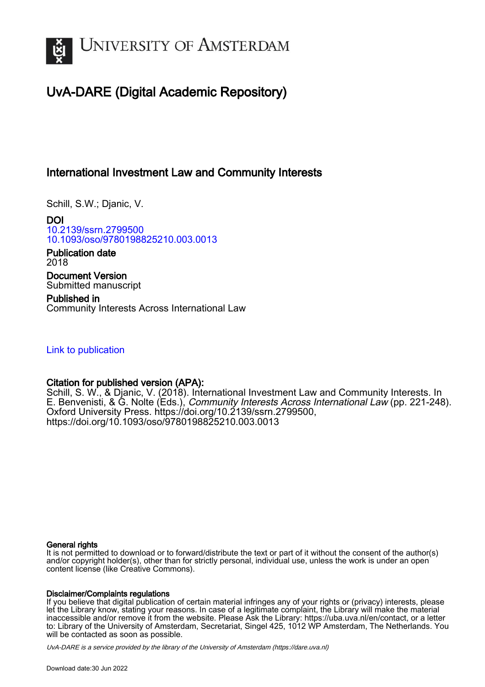

## UvA-DARE (Digital Academic Repository)

## International Investment Law and Community Interests

Schill, S.W.; Djanic, V.

DOI [10.2139/ssrn.2799500](https://doi.org/10.2139/ssrn.2799500) [10.1093/oso/9780198825210.003.0013](https://doi.org/10.1093/oso/9780198825210.003.0013)

Publication date 2018

Document Version Submitted manuscript

Published in Community Interests Across International Law

## [Link to publication](https://dare.uva.nl/personal/pure/en/publications/international-investment-law-and-community-interests(02b7621a-3be8-4ca6-87cc-7b87ae779c99).html)

## Citation for published version (APA):

Schill, S. W., & Djanic, V. (2018). International Investment Law and Community Interests. In E. Benvenisti, & G. Nolte (Eds.), *Community Interests Across International Law* (pp. 221-248). Oxford University Press. [https://doi.org/10.2139/ssrn.2799500,](https://doi.org/10.2139/ssrn.2799500) <https://doi.org/10.1093/oso/9780198825210.003.0013>

#### General rights

It is not permitted to download or to forward/distribute the text or part of it without the consent of the author(s) and/or copyright holder(s), other than for strictly personal, individual use, unless the work is under an open content license (like Creative Commons).

#### Disclaimer/Complaints regulations

If you believe that digital publication of certain material infringes any of your rights or (privacy) interests, please let the Library know, stating your reasons. In case of a legitimate complaint, the Library will make the material inaccessible and/or remove it from the website. Please Ask the Library: https://uba.uva.nl/en/contact, or a letter to: Library of the University of Amsterdam, Secretariat, Singel 425, 1012 WP Amsterdam, The Netherlands. You will be contacted as soon as possible.

UvA-DARE is a service provided by the library of the University of Amsterdam (http*s*://dare.uva.nl)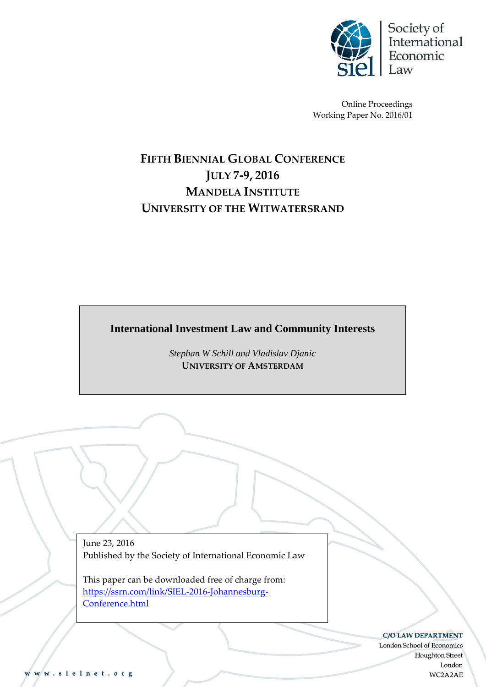

Online Proceedings Working Paper No. 2016/01

# **FIFTH BIENNIAL GLOBAL CONFERENCE JULY 7-9, 2016 MANDELA INSTITUTE UNIVERSITY OF THE WITWATERSRAND**

**International Investment Law and Community Interests**

*Stephan W Schill and Vladislav Djanic* **UNIVERSITY OF AMSTERDAM**

June 23, 2016 Published by the Society of International Economic Law

This paper can be downloaded free of charge from: [https://ssrn.com/link/SIEL-2016-Johannesburg-](https://ssrn.com/link/SIEL-2016-Johannesburg-Conference.html)[Conference.html](https://ssrn.com/link/SIEL-2016-Johannesburg-Conference.html)

C/O LAW DEPARTMENT

London School of Economics Houghton Street London WC2A2AE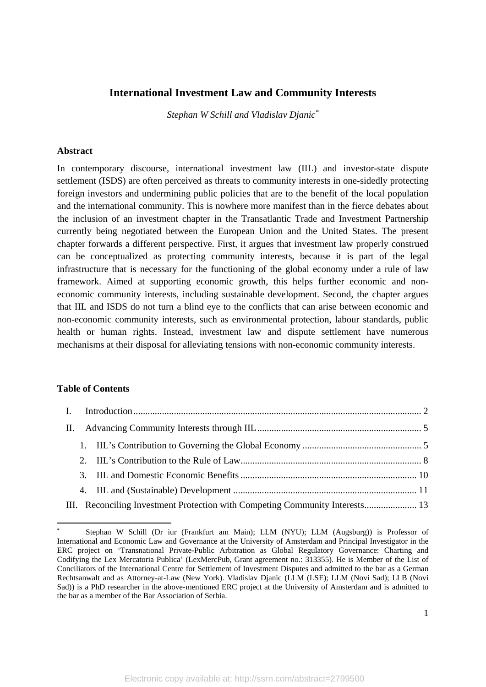## **International Investment Law and Community Interests**

*Stephan W Schill and Vladislav Djanic\**

#### **Abstract**

In contemporary discourse, international investment law (IIL) and investor-state dispute settlement (ISDS) are often perceived as threats to community interests in one-sidedly protecting foreign investors and undermining public policies that are to the benefit of the local population and the international community. This is nowhere more manifest than in the fierce debates about the inclusion of an investment chapter in the Transatlantic Trade and Investment Partnership currently being negotiated between the European Union and the United States. The present chapter forwards a different perspective. First, it argues that investment law properly construed can be conceptualized as protecting community interests, because it is part of the legal infrastructure that is necessary for the functioning of the global economy under a rule of law framework. Aimed at supporting economic growth, this helps further economic and noneconomic community interests, including sustainable development. Second, the chapter argues that IIL and ISDS do not turn a blind eye to the conflicts that can arise between economic and non-economic community interests, such as environmental protection, labour standards, public health or human rights. Instead, investment law and dispute settlement have numerous mechanisms at their disposal for alleviating tensions with non-economic community interests.

## **Table of Contents**

|  | III. Reconciling Investment Protection with Competing Community Interests 13 |  |  |
|--|------------------------------------------------------------------------------|--|--|

<sup>\*</sup> Stephan W Schill (Dr iur (Frankfurt am Main); LLM (NYU); LLM (Augsburg)) is Professor of International and Economic Law and Governance at the University of Amsterdam and Principal Investigator in the ERC project on 'Transnational Private-Public Arbitration as Global Regulatory Governance: Charting and Codifying the Lex Mercatoria Publica' (LexMercPub, Grant agreement no.: 313355). He is Member of the List of Conciliators of the International Centre for Settlement of Investment Disputes and admitted to the bar as a German Rechtsanwalt and as Attorney-at-Law (New York). Vladislav Djanic (LLM (LSE); LLM (Novi Sad); LLB (Novi Sad)) is a PhD researcher in the above-mentioned ERC project at the University of Amsterdam and is admitted to the bar as a member of the Bar Association of Serbia.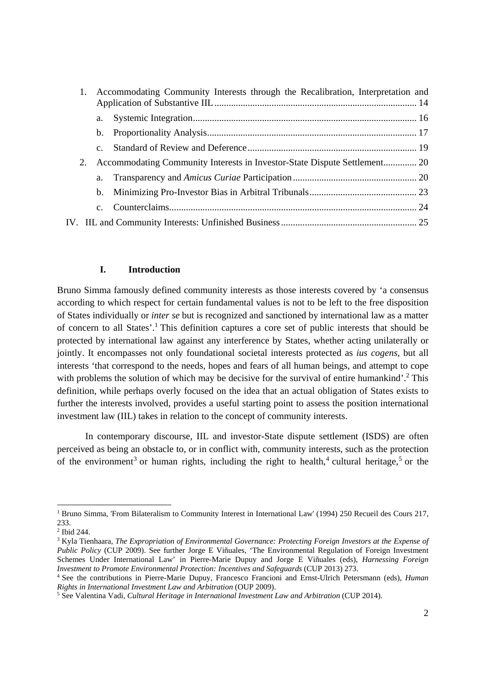|    | Accommodating Community Interests through the Recalibration, Interpretation and |                                                                           |  |
|----|---------------------------------------------------------------------------------|---------------------------------------------------------------------------|--|
|    |                                                                                 |                                                                           |  |
|    |                                                                                 |                                                                           |  |
|    | $c_{\rm}$                                                                       |                                                                           |  |
| 2. |                                                                                 | Accommodating Community Interests in Investor-State Dispute Settlement 20 |  |
|    | $a_{\cdot}$                                                                     |                                                                           |  |
|    | $\mathbf{b}$ .                                                                  |                                                                           |  |
|    | $\mathbf{c}$ .                                                                  |                                                                           |  |
|    |                                                                                 |                                                                           |  |

#### **I. Introduction**

Bruno Simma famously defined community interests as those interests covered by 'a consensus according to which respect for certain fundamental values is not to be left to the free disposition of States individually or *inter se* but is recognized and sanctioned by international law as a matter of concern to all States'.<sup>1</sup> This definition captures a core set of public interests that should be protected by international law against any interference by States, whether acting unilaterally or jointly. It encompasses not only foundational societal interests protected as *ius cogens*, but all interests 'that correspond to the needs, hopes and fears of all human beings, and attempt to cope with problems the solution of which may be decisive for the survival of entire humankind'.<sup>2</sup> This definition, while perhaps overly focused on the idea that an actual obligation of States exists to further the interests involved, provides a useful starting point to assess the position international investment law (IIL) takes in relation to the concept of community interests.

In contemporary discourse, IIL and investor-State dispute settlement (ISDS) are often perceived as being an obstacle to, or in conflict with, community interests, such as the protection of the environment<sup>3</sup> or human rights, including the right to health,<sup>4</sup> cultural heritage,<sup>5</sup> or the

<sup>-</sup><sup>1</sup> Bruno Simma, 'From Bilateralism to Community Interest in International Law' (1994) 250 Recueil des Cours 217, 233.

<sup>2</sup> Ibid 244.

<sup>3</sup> Kyla Tienhaara, *The Expropriation of Environmental Governance: Protecting Foreign Investors at the Expense of Public Policy* (CUP 2009). See further Jorge E Viñuales, 'The Environmental Regulation of Foreign Investment Schemes Under International Law' in Pierre-Marie Dupuy and Jorge E Viñuales (eds), *Harnessing Foreign Investment to Promote Environmental Protection: Incentives and Safeguards* (CUP 2013) 273.

<sup>&</sup>lt;sup>4</sup> See the contributions in Pierre-Marie Dupuy, Francesco Francioni and Ernst-Ulrich Petersmann (eds), *Human Rights in International Investment Law and Arbitration* (OUP 2009).

<sup>&</sup>lt;sup>5</sup> See Valentina Vadi, *Cultural Heritage in International Investment Law and Arbitration* (CUP 2014).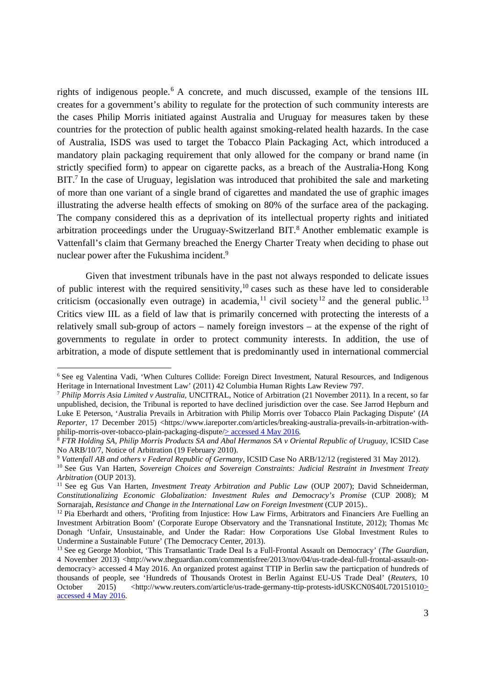rights of indigenous people.<sup>6</sup> A concrete, and much discussed, example of the tensions IIL creates for a government's ability to regulate for the protection of such community interests are the cases Philip Morris initiated against Australia and Uruguay for measures taken by these countries for the protection of public health against smoking-related health hazards. In the case of Australia, ISDS was used to target the Tobacco Plain Packaging Act, which introduced a mandatory plain packaging requirement that only allowed for the company or brand name (in strictly specified form) to appear on cigarette packs, as a breach of the Australia-Hong Kong  $BIT.$ <sup>7</sup> In the case of Uruguay, legislation was introduced that prohibited the sale and marketing of more than one variant of a single brand of cigarettes and mandated the use of graphic images illustrating the adverse health effects of smoking on 80% of the surface area of the packaging. The company considered this as a deprivation of its intellectual property rights and initiated arbitration proceedings under the Uruguay-Switzerland BIT. $8$  Another emblematic example is Vattenfall's claim that Germany breached the Energy Charter Treaty when deciding to phase out nuclear power after the Fukushima incident.9

Given that investment tribunals have in the past not always responded to delicate issues of public interest with the required sensitivity, $10$  cases such as these have led to considerable criticism (occasionally even outrage) in academia, <sup>11</sup> civil society<sup>12</sup> and the general public.<sup>13</sup> Critics view IIL as a field of law that is primarily concerned with protecting the interests of a relatively small sub-group of actors – namely foreign investors – at the expense of the right of governments to regulate in order to protect community interests. In addition, the use of arbitration, a mode of dispute settlement that is predominantly used in international commercial

<sup>6</sup> See eg Valentina Vadi, 'When Cultures Collide: Foreign Direct Investment, Natural Resources, and Indigenous Heritage in International Investment Law' (2011) 42 Columbia Human Rights Law Review 797.

<sup>7</sup>  *Philip Morris Asia Limited v Australia,* UNCITRAL, Notice of Arbitration (21 November 2011)*.* In a recent, so far unpublished, decision, the Tribunal is reported to have declined jurisdiction over the case. See Jarrod Hepburn and Luke E Peterson, 'Australia Prevails in Arbitration with Philip Morris over Tobacco Plain Packaging Dispute' (*IA Reporter*, 17 December 2015) <https://www.iareporter.com/articles/breaking-australia-prevails-in-arbitration-withphilip-morris-over-tobacco-plain-packaging-dispute/ $\geq$  accessed 4 May 2016.

<sup>8</sup> *FTR Holding SA, Philip Morris Products SA and Abal Hermanos SA v Oriental Republic of Uruguay*, ICSID Case No ARB/10/7, Notice of Arbitration (19 February 2010).<br><sup>9</sup> Vattenfall AB and others v Federal Republic of Germany, ICSID Case No ARB/12/12 (registered 31 May 2012).

<sup>&</sup>lt;sup>10</sup> See Gus Van Harten, Sovereign Choices and Sovereign Constraints: Judicial Restraint in Investment Treaty Arbitration (OUP 2013).

<sup>&</sup>lt;sup>11</sup> See eg Gus Van Harten, *Investment Treaty Arbitration and Public Law* (OUP 2007); David Schneiderman, *Constitutionalizing Economic Globalization: Investment Rules and Democracy's Promise* (CUP 2008); M

<sup>&</sup>lt;sup>12</sup> Pia Eberhardt and others, 'Profiting from Injustice: How Law Firms, Arbitrators and Financiers Are Fuelling an Investment Arbitration Boom' (Corporate Europe Observatory and the Transnational Institute, 2012); Thomas Mc Donagh 'Unfair, Unsustainable, and Under the Radar: How Corporations Use Global Investment Rules to Undermine a Sustainable Future' (The Democracy Center, 2013).

<sup>13</sup> See eg George Monbiot, 'This Transatlantic Trade Deal Is a Full-Frontal Assault on Democracy' (*The Guardian*, 4 November 2013) <http://www.theguardian.com/commentisfree/2013/nov/04/us-trade-deal-full-frontal-assault-ondemocracy> accessed 4 May 2016. An organized protest against TTIP in Berlin saw the particpation of hundreds of thousands of people, see 'Hundreds of Thousands Orotest in Berlin Against EU-US Trade Deal' (*Reuters*, 10 October 2015) <http://www.reuters.com/article/us-trade-germany-ttip-protests-idUSKCN0S40L720151010> accessed 4 May 2016.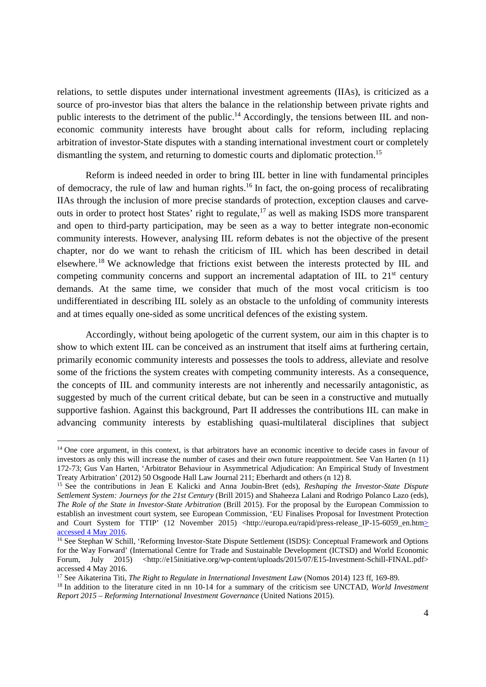relations, to settle disputes under international investment agreements (IIAs), is criticized as a source of pro-investor bias that alters the balance in the relationship between private rights and public interests to the detriment of the public.14 Accordingly, the tensions between IIL and noneconomic community interests have brought about calls for reform, including replacing arbitration of investor-State disputes with a standing international investment court or completely dismantling the system, and returning to domestic courts and diplomatic protection.<sup>15</sup>

Reform is indeed needed in order to bring IIL better in line with fundamental principles of democracy, the rule of law and human rights.<sup>16</sup> In fact, the on-going process of recalibrating IIAs through the inclusion of more precise standards of protection, exception clauses and carveouts in order to protect host States' right to regulate,<sup>17</sup> as well as making ISDS more transparent and open to third-party participation, may be seen as a way to better integrate non-economic community interests. However, analysing IIL reform debates is not the objective of the present chapter, nor do we want to rehash the criticism of IIL which has been described in detail elsewhere.18 We acknowledge that frictions exist between the interests protected by IIL and competing community concerns and support an incremental adaptation of IIL to  $21<sup>st</sup>$  century demands. At the same time, we consider that much of the most vocal criticism is too undifferentiated in describing IIL solely as an obstacle to the unfolding of community interests and at times equally one-sided as some uncritical defences of the existing system.

Accordingly, without being apologetic of the current system, our aim in this chapter is to show to which extent IIL can be conceived as an instrument that itself aims at furthering certain, primarily economic community interests and possesses the tools to address, alleviate and resolve some of the frictions the system creates with competing community interests. As a consequence, the concepts of IIL and community interests are not inherently and necessarily antagonistic, as suggested by much of the current critical debate, but can be seen in a constructive and mutually supportive fashion. Against this background, Part II addresses the contributions IIL can make in advancing community interests by establishing quasi-multilateral disciplines that subject

<sup>&</sup>lt;sup>14</sup> One core argument, in this context, is that arbitrators have an economic incentive to decide cases in favour of investors as only this will increase the number of cases and their own future reappointment. See Van Harten (n 11) 172-73; Gus Van Harten, 'Arbitrator Behaviour in Asymmetrical Adjudication: An Empirical Study of Investment Treaty Arbitration' (2012) 50 Osgoode Hall Law Journal 211; Eberhardt and others (n 12) 8.

<sup>15</sup> See the contributions in Jean E Kalicki and Anna Joubin-Bret (eds), *Reshaping the Investor-State Dispute Settlement System: Journeys for the 21st Century* (Brill 2015) and Shaheeza Lalani and Rodrigo Polanco Lazo (eds), *The Role of the State in Investor-State Arbitration* (Brill 2015). For the proposal by the European Commission to establish an investment court system, see European Commission, 'EU Finalises Proposal for Investment Protection and Court System for TTIP<sup>'</sup> (12 November 2015) <http://europa.eu/rapid/press-release\_IP-15-6059\_en.htm> accessed 4 May 2016.

<sup>16</sup> See Stephan W Schill, 'Reforming Investor-State Dispute Settlement (ISDS): Conceptual Framework and Options for the Way Forward' (International Centre for Trade and Sustainable Development (ICTSD) and World Economic Forum, July 2015) <http://e15initiative.org/wp-content/uploads/2015/07/E15-Investment-Schill-FINAL.pdf> accessed 4 May 2016.<br><sup>17</sup> See Aikaterina Titi, *The Right to Regulate in International Investment Law* (Nomos 2014) 123 ff, 169-89.

<sup>&</sup>lt;sup>18</sup> In addition to the literature cited in nn 10-14 for a summary of the criticism see UNCTAD, World Investment *Report 2015 – Reforming International Investment Governance* (United Nations 2015).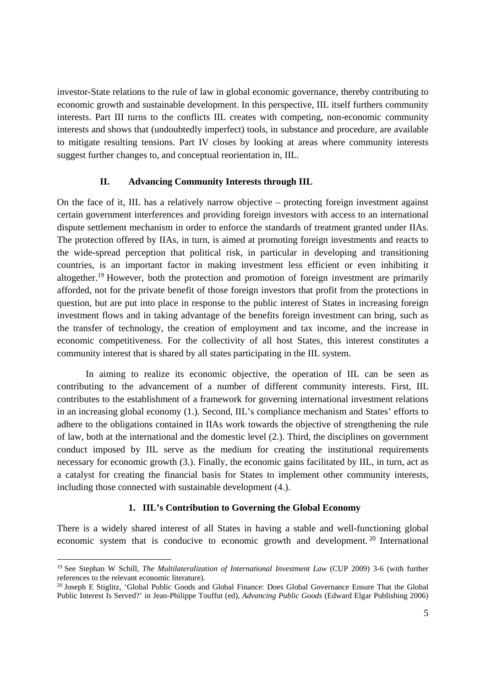investor-State relations to the rule of law in global economic governance, thereby contributing to economic growth and sustainable development. In this perspective, IIL itself furthers community interests. Part III turns to the conflicts IIL creates with competing, non-economic community interests and shows that (undoubtedly imperfect) tools, in substance and procedure, are available to mitigate resulting tensions. Part IV closes by looking at areas where community interests suggest further changes to, and conceptual reorientation in, IIL.

## **II. Advancing Community Interests through IIL**

On the face of it, IIL has a relatively narrow objective – protecting foreign investment against certain government interferences and providing foreign investors with access to an international dispute settlement mechanism in order to enforce the standards of treatment granted under IIAs. The protection offered by IIAs, in turn, is aimed at promoting foreign investments and reacts to the wide-spread perception that political risk, in particular in developing and transitioning countries, is an important factor in making investment less efficient or even inhibiting it altogether.19 However, both the protection and promotion of foreign investment are primarily afforded, not for the private benefit of those foreign investors that profit from the protections in question, but are put into place in response to the public interest of States in increasing foreign investment flows and in taking advantage of the benefits foreign investment can bring, such as the transfer of technology, the creation of employment and tax income, and the increase in economic competitiveness. For the collectivity of all host States, this interest constitutes a community interest that is shared by all states participating in the IIL system.

In aiming to realize its economic objective, the operation of IIL can be seen as contributing to the advancement of a number of different community interests. First, IIL contributes to the establishment of a framework for governing international investment relations in an increasing global economy (1.). Second, IIL's compliance mechanism and States' efforts to adhere to the obligations contained in IIAs work towards the objective of strengthening the rule of law, both at the international and the domestic level (2.). Third, the disciplines on government conduct imposed by IIL serve as the medium for creating the institutional requirements necessary for economic growth (3.). Finally, the economic gains facilitated by IIL, in turn, act as a catalyst for creating the financial basis for States to implement other community interests, including those connected with sustainable development (4.).

#### **1. IIL's Contribution to Governing the Global Economy**

There is a widely shared interest of all States in having a stable and well-functioning global economic system that is conducive to economic growth and development. 20 International

<sup>19</sup> See Stephan W Schill, *The Multilateralization of International Investment Law* (CUP 2009) 3-6 (with further references to the relevant economic literature).

<sup>&</sup>lt;sup>20</sup> Joseph E Stiglitz, 'Global Public Goods and Global Finance: Does Global Governance Ensure That the Global Public Interest Is Served?' in Jean-Philippe Touffut (ed), *Advancing Public Goods* (Edward Elgar Publishing 2006)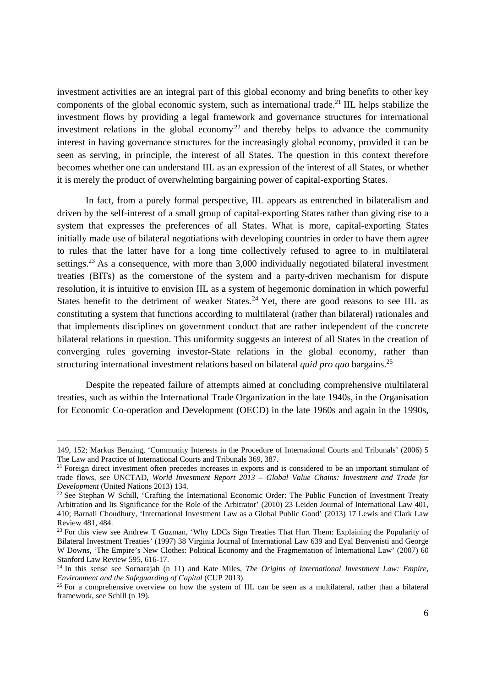investment activities are an integral part of this global economy and bring benefits to other key components of the global economic system, such as international trade.<sup>21</sup> IIL helps stabilize the investment flows by providing a legal framework and governance structures for international investment relations in the global economy<sup>22</sup> and thereby helps to advance the community interest in having governance structures for the increasingly global economy, provided it can be seen as serving, in principle, the interest of all States. The question in this context therefore becomes whether one can understand IIL as an expression of the interest of all States, or whether it is merely the product of overwhelming bargaining power of capital-exporting States.

In fact, from a purely formal perspective, IIL appears as entrenched in bilateralism and driven by the self-interest of a small group of capital-exporting States rather than giving rise to a system that expresses the preferences of all States. What is more, capital-exporting States initially made use of bilateral negotiations with developing countries in order to have them agree to rules that the latter have for a long time collectively refused to agree to in multilateral settings.<sup>23</sup> As a consequence, with more than 3,000 individually negotiated bilateral investment treaties (BITs) as the cornerstone of the system and a party-driven mechanism for dispute resolution, it is intuitive to envision IIL as a system of hegemonic domination in which powerful States benefit to the detriment of weaker States.<sup>24</sup> Yet, there are good reasons to see IIL as constituting a system that functions according to multilateral (rather than bilateral) rationales and that implements disciplines on government conduct that are rather independent of the concrete bilateral relations in question. This uniformity suggests an interest of all States in the creation of converging rules governing investor-State relations in the global economy, rather than structuring international investment relations based on bilateral *quid pro quo* bargains.25

Despite the repeated failure of attempts aimed at concluding comprehensive multilateral treaties, such as within the International Trade Organization in the late 1940s, in the Organisation for Economic Co-operation and Development (OECD) in the late 1960s and again in the 1990s,

 <sup>149, 152;</sup> Markus Benzing, 'Community Interests in the Procedure of International Courts and Tribunals' (2006) 5 The Law and Practice of International Courts and Tribunals 369, 387.

<sup>&</sup>lt;sup>21</sup> Foreign direct investment often precedes increases in exports and is considered to be an important stimulant of trade flows, see UNCTAD, *World Investment Report 2013 – Global Value Chains: Investment and Trade for* 

<sup>&</sup>lt;sup>22</sup> See Stephan W Schill, 'Crafting the International Economic Order: The Public Function of Investment Treaty Arbitration and Its Significance for the Role of the Arbitrator' (2010) 23 Leiden Journal of International Law 401, 410; Barnali Choudhury, 'International Investment Law as a Global Public Good' (2013) 17 Lewis and Clark Law Review 481, 484.

<sup>&</sup>lt;sup>23</sup> For this view see Andrew T Guzman, 'Why LDCs Sign Treaties That Hurt Them: Explaining the Popularity of Bilateral Investment Treaties' (1997) 38 Virginia Journal of International Law 639 and Eyal Benvenisti and George W Downs, 'The Empire's New Clothes: Political Economy and the Fragmentation of International Law' (2007) 60 Stanford Law Review 595, 616-17.

<sup>&</sup>lt;sup>24</sup> In this sense see Sornarajah (n 11) and Kate Miles, *The Origins of International Investment Law: Empire, Environment and the Safeguarding of Capital (CUP 2013).* 

<sup>&</sup>lt;sup>25</sup> For a comprehensive overview on how the system of IIL can be seen as a multilateral, rather than a bilateral framework, see Schill (n 19).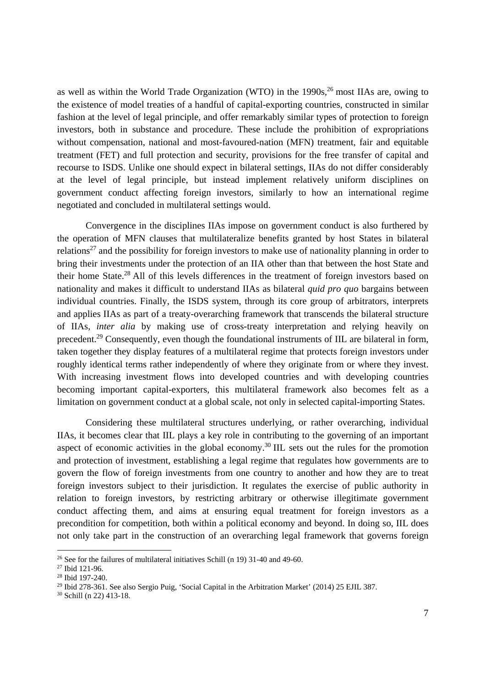as well as within the World Trade Organization (WTO) in the  $1990s<sup>26</sup>$  most IIAs are, owing to the existence of model treaties of a handful of capital-exporting countries, constructed in similar fashion at the level of legal principle, and offer remarkably similar types of protection to foreign investors, both in substance and procedure. These include the prohibition of expropriations without compensation, national and most-favoured-nation (MFN) treatment, fair and equitable treatment (FET) and full protection and security, provisions for the free transfer of capital and recourse to ISDS. Unlike one should expect in bilateral settings, IIAs do not differ considerably at the level of legal principle, but instead implement relatively uniform disciplines on government conduct affecting foreign investors, similarly to how an international regime negotiated and concluded in multilateral settings would.

Convergence in the disciplines IIAs impose on government conduct is also furthered by the operation of MFN clauses that multilateralize benefits granted by host States in bilateral relations<sup>27</sup> and the possibility for foreign investors to make use of nationality planning in order to bring their investments under the protection of an IIA other than that between the host State and their home State.28 All of this levels differences in the treatment of foreign investors based on nationality and makes it difficult to understand IIAs as bilateral *quid pro quo* bargains between individual countries. Finally, the ISDS system, through its core group of arbitrators, interprets and applies IIAs as part of a treaty-overarching framework that transcends the bilateral structure of IIAs, *inter alia* by making use of cross-treaty interpretation and relying heavily on precedent.29 Consequently, even though the foundational instruments of IIL are bilateral in form, taken together they display features of a multilateral regime that protects foreign investors under roughly identical terms rather independently of where they originate from or where they invest. With increasing investment flows into developed countries and with developing countries becoming important capital-exporters, this multilateral framework also becomes felt as a limitation on government conduct at a global scale, not only in selected capital-importing States.

Considering these multilateral structures underlying, or rather overarching, individual IIAs, it becomes clear that IIL plays a key role in contributing to the governing of an important aspect of economic activities in the global economy.<sup>30</sup> IIL sets out the rules for the promotion and protection of investment, establishing a legal regime that regulates how governments are to govern the flow of foreign investments from one country to another and how they are to treat foreign investors subject to their jurisdiction. It regulates the exercise of public authority in relation to foreign investors, by restricting arbitrary or otherwise illegitimate government conduct affecting them, and aims at ensuring equal treatment for foreign investors as a precondition for competition, both within a political economy and beyond. In doing so, IIL does not only take part in the construction of an overarching legal framework that governs foreign

<sup>&</sup>lt;sup>26</sup> See for the failures of multilateral initiatives Schill (n 19) 31-40 and 49-60.

<sup>27</sup> Ibid 121-96.

<sup>28</sup> Ibid 197-240.

<sup>&</sup>lt;sup>29</sup> Ibid 278-361. See also Sergio Puig, 'Social Capital in the Arbitration Market' (2014) 25 EJIL 387.

<sup>30</sup> Schill (n 22) 413-18.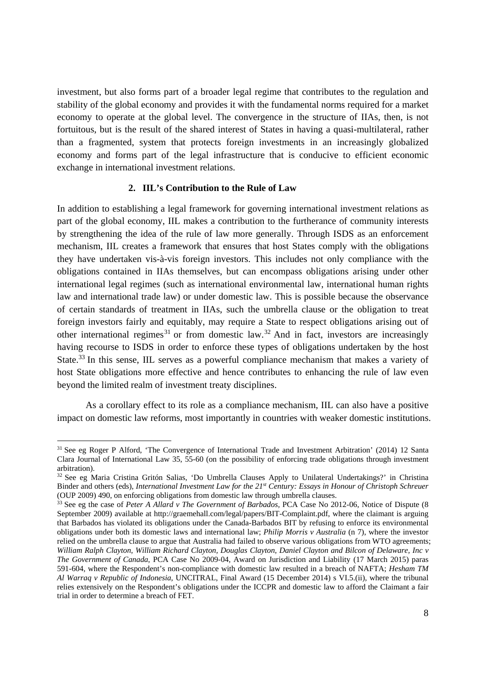investment, but also forms part of a broader legal regime that contributes to the regulation and stability of the global economy and provides it with the fundamental norms required for a market economy to operate at the global level. The convergence in the structure of IIAs, then, is not fortuitous, but is the result of the shared interest of States in having a quasi-multilateral, rather than a fragmented, system that protects foreign investments in an increasingly globalized economy and forms part of the legal infrastructure that is conducive to efficient economic exchange in international investment relations.

#### **2. IIL's Contribution to the Rule of Law**

In addition to establishing a legal framework for governing international investment relations as part of the global economy, IIL makes a contribution to the furtherance of community interests by strengthening the idea of the rule of law more generally. Through ISDS as an enforcement mechanism, IIL creates a framework that ensures that host States comply with the obligations they have undertaken vis-à-vis foreign investors. This includes not only compliance with the obligations contained in IIAs themselves, but can encompass obligations arising under other international legal regimes (such as international environmental law, international human rights law and international trade law) or under domestic law. This is possible because the observance of certain standards of treatment in IIAs, such the umbrella clause or the obligation to treat foreign investors fairly and equitably, may require a State to respect obligations arising out of other international regimes<sup>31</sup> or from domestic law.<sup>32</sup> And in fact, investors are increasingly having recourse to ISDS in order to enforce these types of obligations undertaken by the host State.<sup>33</sup> In this sense, IIL serves as a powerful compliance mechanism that makes a variety of host State obligations more effective and hence contributes to enhancing the rule of law even beyond the limited realm of investment treaty disciplines.

As a corollary effect to its role as a compliance mechanism, IIL can also have a positive impact on domestic law reforms, most importantly in countries with weaker domestic institutions.

<sup>31</sup> See eg Roger P Alford, 'The Convergence of International Trade and Investment Arbitration' (2014) 12 Santa Clara Journal of International Law 35, 55-60 (on the possibility of enforcing trade obligations through investment arbitration).

<sup>32</sup> See eg Maria Cristina Gritón Salias, 'Do Umbrella Clauses Apply to Unilateral Undertakings?' in Christina Binder and others (eds), *International Investment Law for the 21st Century: Essays in Honour of Christoph Schreuer* (OUP 2009) 490, on enforcing obligations from domestic law through umbrella clauses.

<sup>&</sup>lt;sup>33</sup> See eg the case of *Peter A Allard v The Government of Barbados*, PCA Case No 2012-06, Notice of Dispute (8 September 2009) available at http://graemehall.com/legal/papers/BIT-Complaint.pdf, where the claimant is arguing that Barbados has violated its obligations under the Canada-Barbados BIT by refusing to enforce its environmental obligations under both its domestic laws and international law; *Philip Morris v Australia* (n 7), where the investor relied on the umbrella clause to argue that Australia had failed to observe various obligations from WTO agreements; *William Ralph Clayton, William Richard Clayton, Douglas Clayton, Daniel Clayton and Bilcon of Delaware, Inc v The Government of Canada*, PCA Case No 2009-04, Award on Jurisdiction and Liability (17 March 2015) paras 591-604, where the Respondent's non-compliance with domestic law resulted in a breach of NAFTA; *Hesham TM Al Warraq v Republic of Indonesia*, UNCITRAL, Final Award (15 December 2014) s VI.5.(ii), where the tribunal relies extensively on the Respondent's obligations under the ICCPR and domestic law to afford the Claimant a fair trial in order to determine a breach of FET.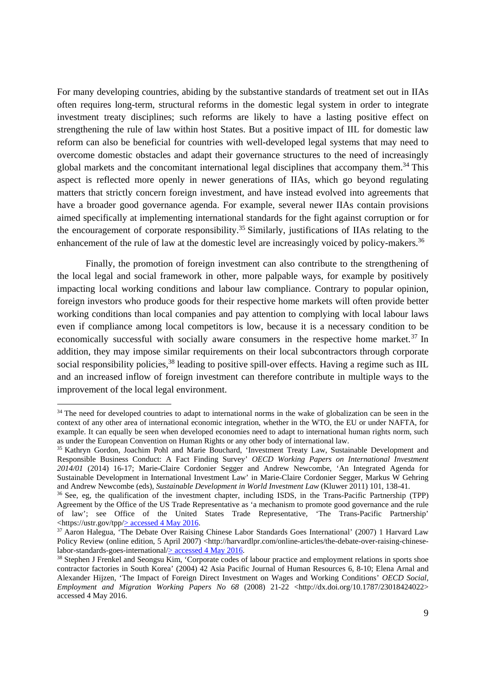For many developing countries, abiding by the substantive standards of treatment set out in IIAs often requires long-term, structural reforms in the domestic legal system in order to integrate investment treaty disciplines; such reforms are likely to have a lasting positive effect on strengthening the rule of law within host States. But a positive impact of IIL for domestic law reform can also be beneficial for countries with well-developed legal systems that may need to overcome domestic obstacles and adapt their governance structures to the need of increasingly global markets and the concomitant international legal disciplines that accompany them.<sup>34</sup> This aspect is reflected more openly in newer generations of IIAs, which go beyond regulating matters that strictly concern foreign investment, and have instead evolved into agreements that have a broader good governance agenda. For example, several newer IIAs contain provisions aimed specifically at implementing international standards for the fight against corruption or for the encouragement of corporate responsibility.<sup>35</sup> Similarly, justifications of IIAs relating to the enhancement of the rule of law at the domestic level are increasingly voiced by policy-makers.<sup>36</sup>

Finally, the promotion of foreign investment can also contribute to the strengthening of the local legal and social framework in other, more palpable ways, for example by positively impacting local working conditions and labour law compliance. Contrary to popular opinion, foreign investors who produce goods for their respective home markets will often provide better working conditions than local companies and pay attention to complying with local labour laws even if compliance among local competitors is low, because it is a necessary condition to be economically successful with socially aware consumers in the respective home market.<sup>37</sup> In addition, they may impose similar requirements on their local subcontractors through corporate social responsibility policies,<sup>38</sup> leading to positive spill-over effects. Having a regime such as IIL and an increased inflow of foreign investment can therefore contribute in multiple ways to the improvement of the local legal environment.

<sup>&</sup>lt;sup>34</sup> The need for developed countries to adapt to international norms in the wake of globalization can be seen in the context of any other area of international economic integration, whether in the WTO, the EU or under NAFTA, for example. It can equally be seen when developed economies need to adapt to international human rights norm, such as under the European Convention on Human Rights or any other body of international law.

<sup>&</sup>lt;sup>35</sup> Kathryn Gordon, Joachim Pohl and Marie Bouchard, 'Investment Treaty Law, Sustainable Development and Responsible Business Conduct: A Fact Finding Survey' *OECD Working Papers on International Investment 2014/01* (2014) 16-17; Marie-Claire Cordonier Segger and Andrew Newcombe, 'An Integrated Agenda for Sustainable Development in International Investment Law' in Marie-Claire Cordonier Segger, Markus W Gehring and Andrew Newcombe (eds), Sustainable Development in World Investment Law (Kluwer 2011) 101, 138-41.

<sup>&</sup>lt;sup>36</sup> See, eg, the qualification of the investment chapter, including ISDS, in the Trans-Pacific Partnership (TPP) Agreement by the Office of the US Trade Representative as 'a mechanism to promote good governance and the rule of law'; see Office of the United States Trade Representative, 'The Trans-Pacific Partnership' <https://ustr.gov/tpp/ $\geq$  accessed 4 May 2016.

<sup>&</sup>lt;sup>37</sup> Aaron Halegua, 'The Debate Over Raising Chinese Labor Standards Goes International' (2007) 1 Harvard Law Policy Review (online edition, 5 April 2007) <http://harvardlpr.com/online-articles/the-debate-over-raising-chinese-labor-standards-goes-international/ $\geq$  accessed 4 May 2016.

 $38$  Stephen J Frenkel and Seongsu Kim, 'Corporate codes of labour practice and employment relations in sports shoe contractor factories in South Korea' (2004) 42 Asia Pacific Journal of Human Resources 6, 8-10; Elena Arnal and Alexander Hijzen, 'The Impact of Foreign Direct Investment on Wages and Working Conditions' *OECD Social, Employment and Migration Working Papers No 68* (2008) 21-22 <http://dx.doi.org/10.1787/23018424022> accessed 4 May 2016.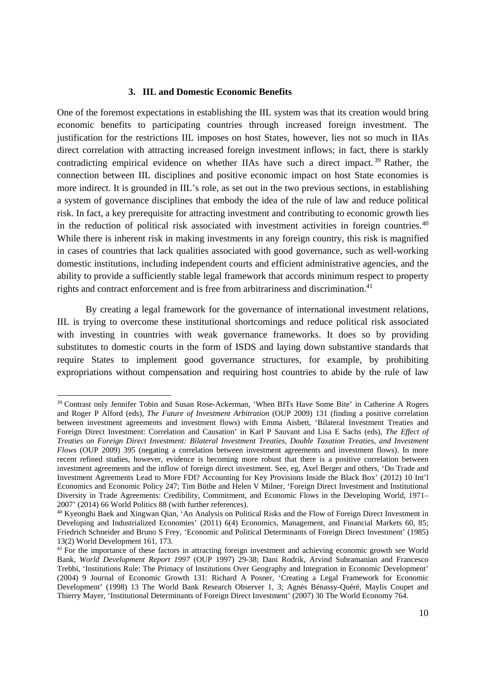#### **3. IIL and Domestic Economic Benefits**

One of the foremost expectations in establishing the IIL system was that its creation would bring economic benefits to participating countries through increased foreign investment. The justification for the restrictions IIL imposes on host States, however, lies not so much in IIAs direct correlation with attracting increased foreign investment inflows; in fact, there is starkly contradicting empirical evidence on whether IIAs have such a direct impact.<sup>39</sup> Rather, the connection between IIL disciplines and positive economic impact on host State economies is more indirect. It is grounded in IIL's role, as set out in the two previous sections, in establishing a system of governance disciplines that embody the idea of the rule of law and reduce political risk. In fact, a key prerequisite for attracting investment and contributing to economic growth lies in the reduction of political risk associated with investment activities in foreign countries.<sup>40</sup> While there is inherent risk in making investments in any foreign country, this risk is magnified in cases of countries that lack qualities associated with good governance, such as well-working domestic institutions, including independent courts and efficient administrative agencies, and the ability to provide a sufficiently stable legal framework that accords minimum respect to property rights and contract enforcement and is free from arbitrariness and discrimination.<sup>41</sup>

By creating a legal framework for the governance of international investment relations, IIL is trying to overcome these institutional shortcomings and reduce political risk associated with investing in countries with weak governance frameworks. It does so by providing substitutes to domestic courts in the form of ISDS and laying down substantive standards that require States to implement good governance structures, for example, by prohibiting expropriations without compensation and requiring host countries to abide by the rule of law

<sup>&</sup>lt;sup>39</sup> Contrast only Jennifer Tobin and Susan Rose-Ackerman, 'When BITs Have Some Bite' in Catherine A Rogers and Roger P Alford (eds), *The Future of Investment Arbitration* (OUP 2009) 131 (finding a positive correlation between investment agreements and investment flows) with Emma Aisbett, 'Bilateral Investment Treaties and Foreign Direct Investment: Correlation and Causation' in Karl P Sauvant and Lisa E Sachs (eds), *The Effect of Treaties on Foreign Direct Investment: Bilateral Investment Treaties, Double Taxation Treaties, and Investment Flows* (OUP 2009) 395 (negating a correlation between investment agreements and investment flows). In more recent refined studies, however, evidence is becoming more robust that there is a positive correlation between investment agreements and the inflow of foreign direct investment. See, eg, Axel Berger and others, 'Do Trade and Investment Agreements Lead to More FDI? Accounting for Key Provisions Inside the Black Box' (2012) 10 Int'l Economics and Economic Policy 247; Tim Büthe and Helen V Milner, 'Foreign Direct Investment and Institutional Diversity in Trade Agreements: Credibility, Commitment, and Economic Flows in the Developing World, 1971– 2007' (2014) 66 World Politics 88 (with further references).

<sup>40</sup> Kyeonghi Baek and Xingwan Qian, 'An Analysis on Political Risks and the Flow of Foreign Direct Investment in Developing and Industrialized Economies' (2011) 6(4) Economics, Management, and Financial Markets 60, 85; Friedrich Schneider and Bruno S Frey, 'Economic and Political Determinants of Foreign Direct Investment' (1985) 13(2) World Development 161, 173.

<sup>&</sup>lt;sup>41</sup> For the importance of these factors in attracting foreign investment and achieving economic growth see World Bank, *World Development Report 1997* (OUP 1997) 29-38; Dani Rodrik, Arvind Subramanian and Francesco Trebbi, 'Institutions Rule: The Primacy of Institutions Over Geography and Integration in Economic Development' (2004) 9 Journal of Economic Growth 131: Richard A Posner, 'Creating a Legal Framework for Economic Development' (1998) 13 The World Bank Research Observer 1, 3; Agnès Bénassy-Quéré, Maylis Coupet and Thierry Mayer, 'Institutional Determinants of Foreign Direct Investment' (2007) 30 The World Economy 764.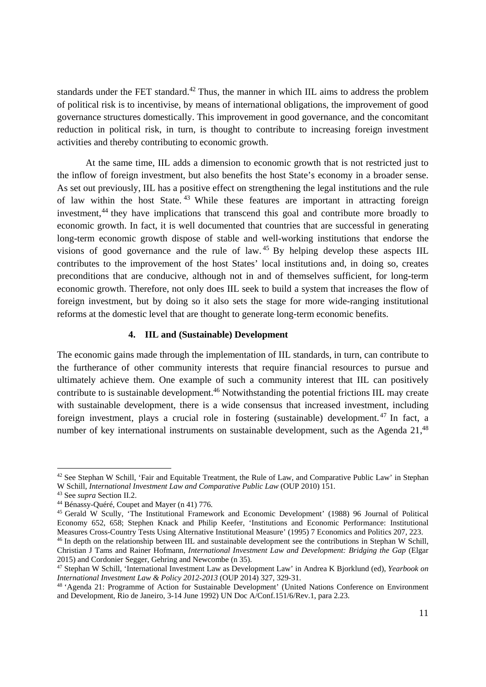standards under the FET standard.<sup>42</sup> Thus, the manner in which IIL aims to address the problem of political risk is to incentivise, by means of international obligations, the improvement of good governance structures domestically. This improvement in good governance, and the concomitant reduction in political risk, in turn, is thought to contribute to increasing foreign investment activities and thereby contributing to economic growth.

At the same time, IIL adds a dimension to economic growth that is not restricted just to the inflow of foreign investment, but also benefits the host State's economy in a broader sense. As set out previously, IIL has a positive effect on strengthening the legal institutions and the rule of law within the host State.<sup>43</sup> While these features are important in attracting foreign investment,<sup>44</sup> they have implications that transcend this goal and contribute more broadly to economic growth. In fact, it is well documented that countries that are successful in generating long-term economic growth dispose of stable and well-working institutions that endorse the visions of good governance and the rule of law. 45 By helping develop these aspects IIL contributes to the improvement of the host States' local institutions and, in doing so, creates preconditions that are conducive, although not in and of themselves sufficient, for long-term economic growth. Therefore, not only does IIL seek to build a system that increases the flow of foreign investment, but by doing so it also sets the stage for more wide-ranging institutional reforms at the domestic level that are thought to generate long-term economic benefits.

#### **4. IIL and (Sustainable) Development**

The economic gains made through the implementation of IIL standards, in turn, can contribute to the furtherance of other community interests that require financial resources to pursue and ultimately achieve them. One example of such a community interest that IIL can positively contribute to is sustainable development.46 Notwithstanding the potential frictions IIL may create with sustainable development, there is a wide consensus that increased investment, including foreign investment, plays a crucial role in fostering (sustainable) development.<sup>47</sup> In fact, a number of key international instruments on sustainable development, such as the Agenda  $21<sup>48</sup>$ 

<sup>&</sup>lt;sup>42</sup> See Stephan W Schill, 'Fair and Equitable Treatment, the Rule of Law, and Comparative Public Law' in Stephan W Schill, *International Investment Law and Comparative Public Law* (OUP 2010) 151. 43 See *supra* Section II.2. 44 Bénassy-Quéré, Coupet and Mayer (n 41) 776.

<sup>&</sup>lt;sup>45</sup> Gerald W Scully, 'The Institutional Framework and Economic Development' (1988) 96 Journal of Political Economy 652, 658; Stephen Knack and Philip Keefer, 'Institutions and Economic Performance: Institutional Measures Cross-Country Tests Using Alternative Institutional Measure' (1995) 7 Economics and Politics 207, 223.

<sup>&</sup>lt;sup>46</sup> In depth on the relationship between IIL and sustainable development see the contributions in Stephan W Schill, Christian J Tams and Rainer Hofmann, *International Investment Law and Development: Bridging the Gap* (Elgar 2015) and Cordonier Segger, Gehring and Newcombe (n 35).

<sup>47</sup> Stephan W Schill, 'International Investment Law as Development Law' in Andrea K Bjorklund (ed), *Yearbook on* 

<sup>&</sup>lt;sup>48</sup> 'Agenda 21: Programme of Action for Sustainable Development' (United Nations Conference on Environment and Development, Rio de Janeiro, 3-14 June 1992) UN Doc A/Conf.151/6/Rev.1, para 2.23.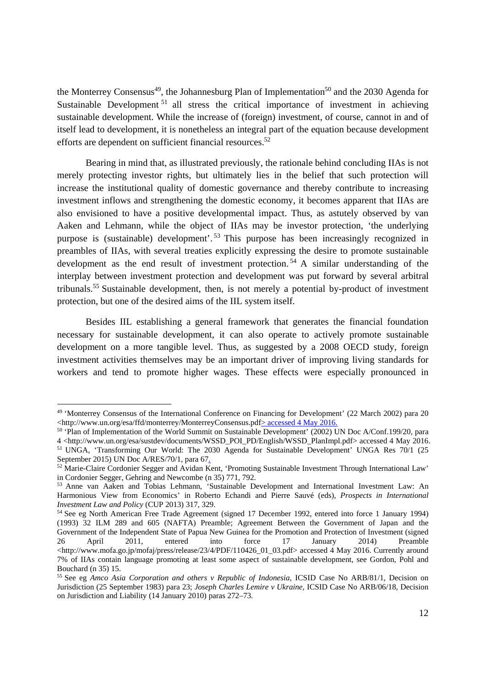the Monterrey Consensus<sup>49</sup>, the Johannesburg Plan of Implementation<sup>50</sup> and the 2030 Agenda for Sustainable Development<sup>51</sup> all stress the critical importance of investment in achieving sustainable development. While the increase of (foreign) investment, of course, cannot in and of itself lead to development, it is nonetheless an integral part of the equation because development efforts are dependent on sufficient financial resources.<sup>52</sup>

Bearing in mind that, as illustrated previously, the rationale behind concluding IIAs is not merely protecting investor rights, but ultimately lies in the belief that such protection will increase the institutional quality of domestic governance and thereby contribute to increasing investment inflows and strengthening the domestic economy, it becomes apparent that IIAs are also envisioned to have a positive developmental impact. Thus, as astutely observed by van Aaken and Lehmann, while the object of IIAs may be investor protection, 'the underlying purpose is (sustainable) development'. 53 This purpose has been increasingly recognized in preambles of IIAs, with several treaties explicitly expressing the desire to promote sustainable development as the end result of investment protection. 54 A similar understanding of the interplay between investment protection and development was put forward by several arbitral tribunals.55 Sustainable development, then, is not merely a potential by-product of investment protection, but one of the desired aims of the IIL system itself.

Besides IIL establishing a general framework that generates the financial foundation necessary for sustainable development, it can also operate to actively promote sustainable development on a more tangible level. Thus, as suggested by a 2008 OECD study, foreign investment activities themselves may be an important driver of improving living standards for workers and tend to promote higher wages. These effects were especially pronounced in

<sup>49 &#</sup>x27;Monterrey Consensus of the International Conference on Financing for Development' (22 March 2002) para 20 <http://www.un.org/esa/ffd/monterrey/MonterreyConsensus.pdf> accessed 4 May 2016. 50 'Plan of Implementation of the World Summit on Sustainable Development' (2002) UN Doc A/Conf.199/20, para

<sup>4 &</sup>lt;http://www.un.org/esa/sustdev/documents/WSSD\_POI\_PD/English/WSSD\_PlanImpl.pdf> accessed 4 May 2016.

<sup>&</sup>lt;sup>51</sup> UNGA, 'Transforming Our World: The 2030 Agenda for Sustainable Development' UNGA Res 70/1 (25 September 2015) UN Doc A/RES/70/1, para 67.

<sup>52</sup> Marie-Claire Cordonier Segger and Avidan Kent, 'Promoting Sustainable Investment Through International Law' in Cordonier Segger, Gehring and Newcombe (n 35) 771, 792.

<sup>53</sup> Anne van Aaken and Tobias Lehmann, 'Sustainable Development and International Investment Law: An Harmonious View from Economics' in Roberto Echandi and Pierre Sauvé (eds), *Prospects in International Investment Law and Policy* (CUP 2013) 317, 329.<br><sup>54</sup> See eg North American Free Trade Agreement (signed 17 December 1992, entered into force 1 January 1994)

<sup>(1993) 32</sup> ILM 289 and 605 (NAFTA) Preamble; Agreement Between the Government of Japan and the Government of the Independent State of Papua New Guinea for the Promotion and Protection of Investment (signed<br>
26 April 2011, entered into force 17 January 2014) Preamble 26 April 2011, entered into force 17 January 2014) Preamble <http://www.mofa.go.jp/mofaj/press/release/23/4/PDF/110426\_01\_03.pdf> accessed 4 May 2016. Currently around 7% of IIAs contain language promoting at least some aspect of sustainable development, see Gordon, Pohl and Bouchard (n 35) 15.

<sup>55</sup> See eg *Amco Asia Corporation and others v Republic of Indonesia*, ICSID Case No ARB/81/1, Decision on Jurisdiction (25 September 1983) para 23; *Joseph Charles Lemire v Ukraine*, ICSID Case No ARB/06/18, Decision on Jurisdiction and Liability (14 January 2010) paras 272–73.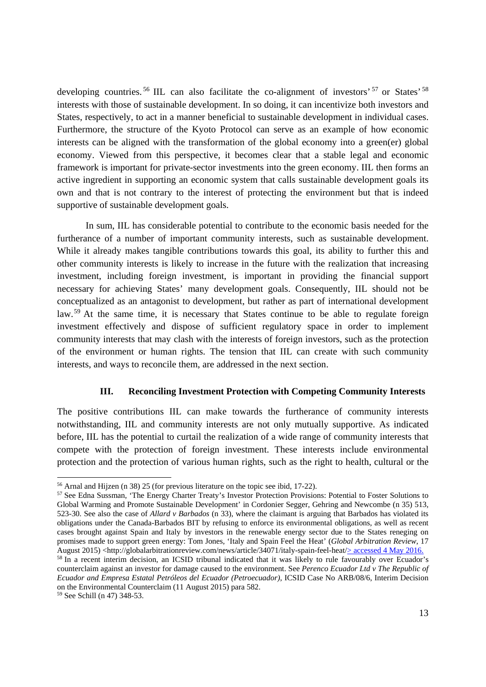developing countries.<sup>56</sup> IIL can also facilitate the co-alignment of investors' <sup>57</sup> or States' <sup>58</sup> interests with those of sustainable development. In so doing, it can incentivize both investors and States, respectively, to act in a manner beneficial to sustainable development in individual cases. Furthermore, the structure of the Kyoto Protocol can serve as an example of how economic interests can be aligned with the transformation of the global economy into a green(er) global economy. Viewed from this perspective, it becomes clear that a stable legal and economic framework is important for private-sector investments into the green economy. IIL then forms an active ingredient in supporting an economic system that calls sustainable development goals its own and that is not contrary to the interest of protecting the environment but that is indeed supportive of sustainable development goals.

In sum, IIL has considerable potential to contribute to the economic basis needed for the furtherance of a number of important community interests, such as sustainable development. While it already makes tangible contributions towards this goal, its ability to further this and other community interests is likely to increase in the future with the realization that increasing investment, including foreign investment, is important in providing the financial support necessary for achieving States' many development goals. Consequently, IIL should not be conceptualized as an antagonist to development, but rather as part of international development law.<sup>59</sup> At the same time, it is necessary that States continue to be able to regulate foreign investment effectively and dispose of sufficient regulatory space in order to implement community interests that may clash with the interests of foreign investors, such as the protection of the environment or human rights. The tension that IIL can create with such community interests, and ways to reconcile them, are addressed in the next section.

#### **III. Reconciling Investment Protection with Competing Community Interests**

The positive contributions IIL can make towards the furtherance of community interests notwithstanding, IIL and community interests are not only mutually supportive. As indicated before, IIL has the potential to curtail the realization of a wide range of community interests that compete with the protection of foreign investment. These interests include environmental protection and the protection of various human rights, such as the right to health, cultural or the

<sup>56</sup> Arnal and Hijzen (n 38) 25 (for previous literature on the topic see ibid, 17-22).

<sup>&</sup>lt;sup>57</sup> See Edna Sussman, 'The Energy Charter Treaty's Investor Protection Provisions: Potential to Foster Solutions to Global Warming and Promote Sustainable Development' in Cordonier Segger, Gehring and Newcombe (n 35) 513, 523-30. See also the case of *Allard v Barbados* (n 33), where the claimant is arguing that Barbados has violated its obligations under the Canada-Barbados BIT by refusing to enforce its environmental obligations, as well as recent cases brought against Spain and Italy by investors in the renewable energy sector due to the States reneging on promises made to support green energy: Tom Jones, 'Italy and Spain Feel the Heat' (*Global Arbitration Review*, 17<br>August 2015) <http://globalarbitrationreview.com/news/article/34071/italy-spain-feel-heat/>accessed 4 May 2

<sup>&</sup>lt;sup>58</sup> In a recent interim decision, an ICSID tribunal indicated that it was likely to rule favourably over Ecuador's counterclaim against an investor for damage caused to the environment. See *Perenco Ecuador Ltd v The Republic of Ecuador and Empresa Estatal Petróleos del Ecuador (Petroecuador)*, ICSID Case No ARB/08/6, Interim Decision on the Environmental Counterclaim (11 August 2015) para 582.

<sup>59</sup> See Schill (n 47) 348-53.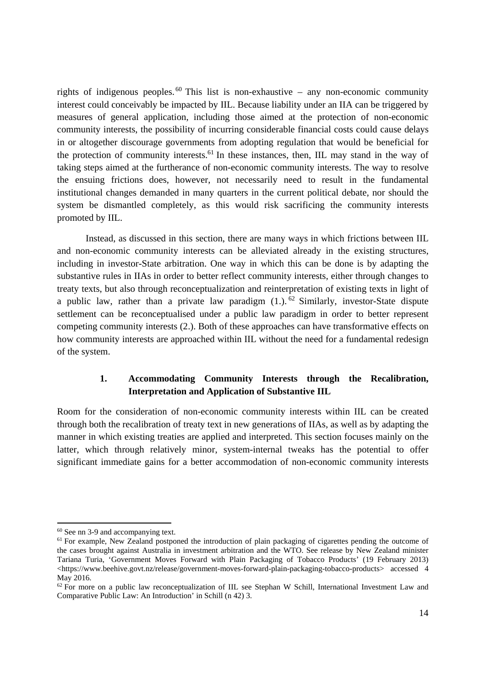rights of indigenous peoples.  $60$  This list is non-exhaustive – any non-economic community interest could conceivably be impacted by IIL. Because liability under an IIA can be triggered by measures of general application, including those aimed at the protection of non-economic community interests, the possibility of incurring considerable financial costs could cause delays in or altogether discourage governments from adopting regulation that would be beneficial for the protection of community interests.<sup>61</sup> In these instances, then, IIL may stand in the way of taking steps aimed at the furtherance of non-economic community interests. The way to resolve the ensuing frictions does, however, not necessarily need to result in the fundamental institutional changes demanded in many quarters in the current political debate, nor should the system be dismantled completely, as this would risk sacrificing the community interests promoted by IIL.

Instead, as discussed in this section, there are many ways in which frictions between IIL and non-economic community interests can be alleviated already in the existing structures, including in investor-State arbitration. One way in which this can be done is by adapting the substantive rules in IIAs in order to better reflect community interests, either through changes to treaty texts, but also through reconceptualization and reinterpretation of existing texts in light of a public law, rather than a private law paradigm  $(1)$ . <sup>62</sup> Similarly, investor-State dispute settlement can be reconceptualised under a public law paradigm in order to better represent competing community interests (2.). Both of these approaches can have transformative effects on how community interests are approached within IIL without the need for a fundamental redesign of the system.

## **1. Accommodating Community Interests through the Recalibration, Interpretation and Application of Substantive IIL**

Room for the consideration of non-economic community interests within IIL can be created through both the recalibration of treaty text in new generations of IIAs, as well as by adapting the manner in which existing treaties are applied and interpreted. This section focuses mainly on the latter, which through relatively minor, system-internal tweaks has the potential to offer significant immediate gains for a better accommodation of non-economic community interests

<sup>60</sup> See nn 3-9 and accompanying text.

<sup>&</sup>lt;sup>61</sup> For example, New Zealand postponed the introduction of plain packaging of cigarettes pending the outcome of the cases brought against Australia in investment arbitration and the WTO. See release by New Zealand minister Tariana Turia, 'Government Moves Forward with Plain Packaging of Tobacco Products' (19 February 2013) <https://www.beehive.govt.nz/release/government-moves-forward-plain-packaging-tobacco-products> accessed 4 May 2016.

<sup>&</sup>lt;sup>62</sup> For more on a public law reconceptualization of IIL see Stephan W Schill, International Investment Law and Comparative Public Law: An Introduction' in Schill (n 42) 3.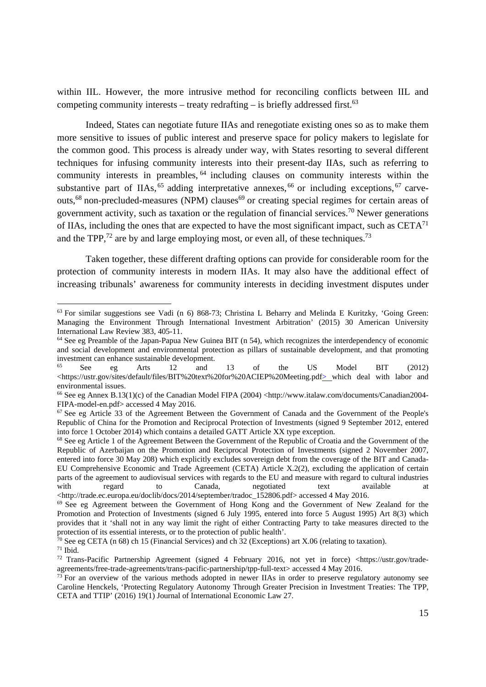within IIL. However, the more intrusive method for reconciling conflicts between IIL and competing community interests – treaty redrafting – is briefly addressed first.<sup>63</sup>

Indeed, States can negotiate future IIAs and renegotiate existing ones so as to make them more sensitive to issues of public interest and preserve space for policy makers to legislate for the common good. This process is already under way, with States resorting to several different techniques for infusing community interests into their present-day IIAs, such as referring to community interests in preambles, 64 including clauses on community interests within the substantive part of IIAs,  $^{65}$  adding interpretative annexes,  $^{66}$  or including exceptions,  $^{67}$  carveouts,<sup>68</sup> non-precluded-measures (NPM) clauses<sup>69</sup> or creating special regimes for certain areas of government activity, such as taxation or the regulation of financial services.70 Newer generations of IIAs, including the ones that are expected to have the most significant impact, such as  $CETA^{71}$ and the TPP, $^{72}$  are by and large employing most, or even all, of these techniques.<sup>73</sup>

Taken together, these different drafting options can provide for considerable room for the protection of community interests in modern IIAs. It may also have the additional effect of increasing tribunals' awareness for community interests in deciding investment disputes under

 $63$  For similar suggestions see Vadi (n 6) 868-73; Christina L Beharry and Melinda E Kuritzky, 'Going Green: Managing the Environment Through International Investment Arbitration' (2015) 30 American University International Law Review 383, 405-11.

<sup>64</sup> See eg Preamble of the Japan-Papua New Guinea BIT (n 54), which recognizes the interdependency of economic and social development and environmental protection as pillars of sustainable development, and that promoting investment can enhance sustainable development.

 $65$  See eg Arts 12 and 13 of the US Model BIT (2012) <https://ustr.gov/sites/default/files/BIT%20text%20for%20ACIEP%20Meeting.pdf> which deal with labor and environmental issues.

<sup>66</sup> See eg Annex B.13(1)(c) of the Canadian Model FIPA (2004) <http://www.italaw.com/documents/Canadian2004- FIPA-model-en.pdf> accessed 4 May 2016.

<sup>67</sup> See eg Article 33 of the Agreement Between the Government of Canada and the Government of the People's Republic of China for the Promotion and Reciprocal Protection of Investments (signed 9 September 2012, entered into force 1 October 2014) which contains a detailed GATT Article XX type exception.

<sup>&</sup>lt;sup>68</sup> See eg Article 1 of the Agreement Between the Government of the Republic of Croatia and the Government of the Republic of Azerbaijan on the Promotion and Reciprocal Protection of Investments (signed 2 November 2007, entered into force 30 May 208) which explicitly excludes sovereign debt from the coverage of the BIT and Canada-EU Comprehensive Economic and Trade Agreement (CETA) Article X.2(2), excluding the application of certain parts of the agreement to audiovisual services with regards to the EU and measure with regard to cultural industries with regard to Canada, negotiated text available at <http://trade.ec.europa.eu/doclib/docs/2014/september/tradoc\_152806.pdf> accessed 4 May 2016.

<sup>&</sup>lt;sup>69</sup> See eg Agreement between the Government of Hong Kong and the Government of New Zealand for the Promotion and Protection of Investments (signed 6 July 1995, entered into force 5 August 1995) Art 8(3) which provides that it 'shall not in any way limit the right of either Contracting Party to take measures directed to the protection of its essential interests, or to the protection of public health'.

<sup>&</sup>lt;sup>70</sup> See eg CETA (n 68) ch 15 (Financial Services) and ch 32 (Exceptions) art X.06 (relating to taxation).

 $71$  Ibid.

<sup>72</sup> Trans-Pacific Partnership Agreement (signed 4 February 2016, not yet in force) <https://ustr.gov/tradeagreements/free-trade-agreements/trans-pacific-partnership/tpp-full-text> accessed 4 May 2016.

<sup>&</sup>lt;sup>73</sup> For an overview of the various methods adopted in newer IIAs in order to preserve regulatory autonomy see Caroline Henckels, 'Protecting Regulatory Autonomy Through Greater Precision in Investment Treaties: The TPP, CETA and TTIP' (2016) 19(1) Journal of International Economic Law 27.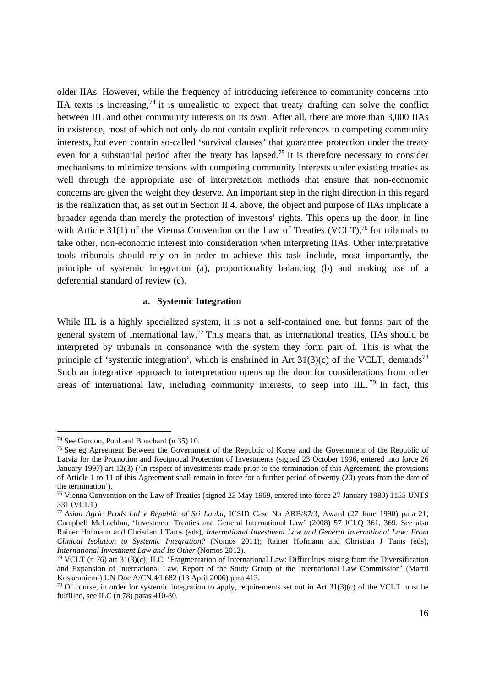older IIAs. However, while the frequency of introducing reference to community concerns into IIA texts is increasing,  $74$  it is unrealistic to expect that treaty drafting can solve the conflict between IIL and other community interests on its own. After all, there are more than 3,000 IIAs in existence, most of which not only do not contain explicit references to competing community interests, but even contain so-called 'survival clauses' that guarantee protection under the treaty even for a substantial period after the treaty has lapsed.<sup>75</sup> It is therefore necessary to consider mechanisms to minimize tensions with competing community interests under existing treaties as well through the appropriate use of interpretation methods that ensure that non-economic concerns are given the weight they deserve. An important step in the right direction in this regard is the realization that, as set out in Section II.4. above, the object and purpose of IIAs implicate a broader agenda than merely the protection of investors' rights. This opens up the door, in line with Article 31(1) of the Vienna Convention on the Law of Treaties (VCLT),<sup>76</sup> for tribunals to take other, non-economic interest into consideration when interpreting IIAs. Other interpretative tools tribunals should rely on in order to achieve this task include, most importantly, the principle of systemic integration (a), proportionality balancing (b) and making use of a deferential standard of review (c).

#### **a. Systemic Integration**

While IIL is a highly specialized system, it is not a self-contained one, but forms part of the general system of international law.77 This means that, as international treaties, IIAs should be interpreted by tribunals in consonance with the system they form part of. This is what the principle of 'systemic integration', which is enshrined in Art  $31(3)(c)$  of the VCLT, demands<sup>78</sup> Such an integrative approach to interpretation opens up the door for considerations from other areas of international law, including community interests, to seep into IIL.<sup>79</sup> In fact, this

 $\overline{a}$ 

<sup>74</sup> See Gordon, Pohl and Bouchard (n 35) 10.

<sup>&</sup>lt;sup>75</sup> See eg Agreement Between the Government of the Republic of Korea and the Government of the Republic of Latvia for the Promotion and Reciprocal Protection of Investments (signed 23 October 1996, entered into force 26 January 1997) art 12(3) ('In respect of investments made prior to the termination of this Agreement, the provisions of Article 1 to 11 of this Agreement shall remain in force for a further period of twenty (20) years from the date of the termination').

<sup>76</sup> Vienna Convention on the Law of Treaties (signed 23 May 1969, entered into force 27 January 1980) 1155 UNTS 331 (VCLT).

<sup>77</sup> *Asian Agric Prods Ltd v Republic of Sri Lanka*, ICSID Case No ARB/87/3, Award (27 June 1990) para 21; Campbell McLachlan, 'Investment Treaties and General International Law' (2008) 57 ICLQ 361, 369. See also Rainer Hofmann and Christian J Tams (eds), *International Investment Law and General International Law: From Clinical Isolation to Systemic Integration?* (Nomos 2011); Rainer Hofmann and Christian J Tams (eds), *International Investment Law and Its Other (Nomos 2012).*<br><sup>78</sup> VCLT (n 76) art 31(3)(c); ILC, 'Fragmentation of International Law: Difficulties arising from the Diversification

and Expansion of International Law, Report of the Study Group of the International Law Commission' (Martti Koskenniemi) UN Doc A/CN.4/L682 (13 April 2006) para 413.

 $79$  Of course, in order for systemic integration to apply, requirements set out in Art  $31(3)(c)$  of the VCLT must be fulfilled, see ILC (n 78) paras 410-80.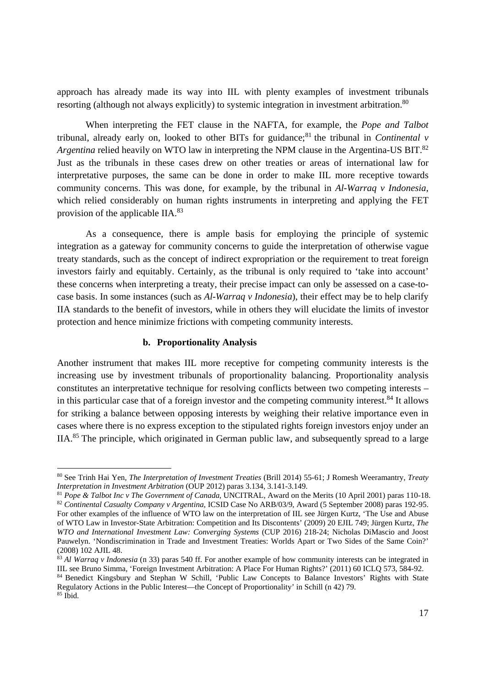approach has already made its way into IIL with plenty examples of investment tribunals resorting (although not always explicitly) to systemic integration in investment arbitration.<sup>80</sup>

When interpreting the FET clause in the NAFTA, for example, the *Pope and Talbot* tribunal, already early on, looked to other BITs for guidance;<sup>81</sup> the tribunal in *Continental v Argentina* relied heavily on WTO law in interpreting the NPM clause in the Argentina-US BIT.<sup>82</sup> Just as the tribunals in these cases drew on other treaties or areas of international law for interpretative purposes, the same can be done in order to make IIL more receptive towards community concerns. This was done, for example, by the tribunal in *Al-Warraq v Indonesia*, which relied considerably on human rights instruments in interpreting and applying the FET provision of the applicable IIA.83

As a consequence, there is ample basis for employing the principle of systemic integration as a gateway for community concerns to guide the interpretation of otherwise vague treaty standards, such as the concept of indirect expropriation or the requirement to treat foreign investors fairly and equitably. Certainly, as the tribunal is only required to 'take into account' these concerns when interpreting a treaty, their precise impact can only be assessed on a case-tocase basis. In some instances (such as *Al-Warraq v Indonesia*), their effect may be to help clarify IIA standards to the benefit of investors, while in others they will elucidate the limits of investor protection and hence minimize frictions with competing community interests.

#### **b. Proportionality Analysis**

-

Another instrument that makes IIL more receptive for competing community interests is the increasing use by investment tribunals of proportionality balancing. Proportionality analysis constitutes an interpretative technique for resolving conflicts between two competing interests – in this particular case that of a foreign investor and the competing community interest.<sup>84</sup> It allows for striking a balance between opposing interests by weighing their relative importance even in cases where there is no express exception to the stipulated rights foreign investors enjoy under an IIA.85 The principle, which originated in German public law, and subsequently spread to a large

<sup>80</sup> See Trinh Hai Yen, *The Interpretation of Investment Treaties* (Brill 2014) 55-61; J Romesh Weeramantry, *Treaty* 

<sup>&</sup>lt;sup>81</sup> Pope & Talbot Inc v The Government of Canada, UNCITRAL, Award on the Merits (10 April 2001) paras 110-18.<br><sup>82</sup> Continental Casualty Company v Argentina, ICSID Case No ARB/03/9, Award (5 September 2008) paras 192-95. For other examples of the influence of WTO law on the interpretation of IIL see Jürgen Kurtz, 'The Use and Abuse of WTO Law in Investor-State Arbitration: Competition and Its Discontents' (2009) 20 EJIL 749; Jürgen Kurtz, *The WTO and International Investment Law: Converging Systems* (CUP 2016) 218-24; Nicholas DiMascio and Joost Pauwelyn. 'Nondiscrimination in Trade and Investment Treaties: Worlds Apart or Two Sides of the Same Coin?' (2008) 102 AJIL 48.

<sup>83</sup> *Al Warraq v Indonesia* (n 33) paras 540 ff. For another example of how community interests can be integrated in IIL see Bruno Simma, 'Foreign Investment Arbitration: A Place For Human Rights?' (2011) 60 ICLQ 573, 584-92.

<sup>84</sup> Benedict Kingsbury and Stephan W Schill, 'Public Law Concepts to Balance Investors' Rights with State Regulatory Actions in the Public Interest—the Concept of Proportionality' in Schill (n 42) 79.  $85$  Ibid.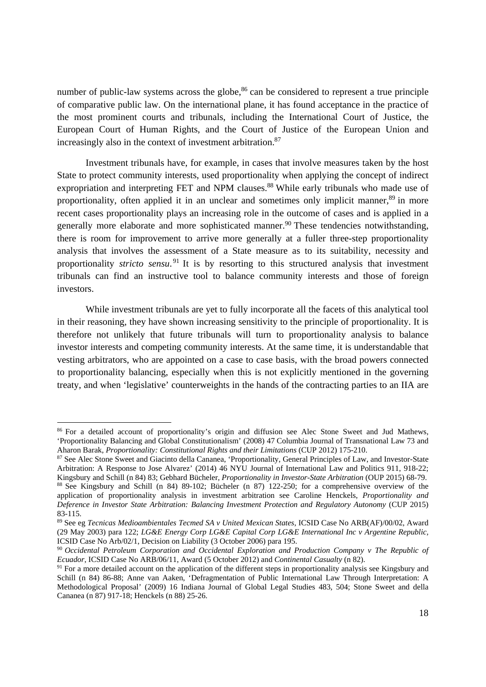number of public-law systems across the globe, $86$  can be considered to represent a true principle of comparative public law. On the international plane, it has found acceptance in the practice of the most prominent courts and tribunals, including the International Court of Justice, the European Court of Human Rights, and the Court of Justice of the European Union and increasingly also in the context of investment arbitration.<sup>87</sup>

Investment tribunals have, for example, in cases that involve measures taken by the host State to protect community interests, used proportionality when applying the concept of indirect expropriation and interpreting FET and NPM clauses.<sup>88</sup> While early tribunals who made use of proportionality, often applied it in an unclear and sometimes only implicit manner,<sup>89</sup> in more recent cases proportionality plays an increasing role in the outcome of cases and is applied in a generally more elaborate and more sophisticated manner.<sup>90</sup> These tendencies notwithstanding, there is room for improvement to arrive more generally at a fuller three-step proportionality analysis that involves the assessment of a State measure as to its suitability, necessity and proportionality *stricto sensu*. 91 It is by resorting to this structured analysis that investment tribunals can find an instructive tool to balance community interests and those of foreign investors.

While investment tribunals are yet to fully incorporate all the facets of this analytical tool in their reasoning, they have shown increasing sensitivity to the principle of proportionality. It is therefore not unlikely that future tribunals will turn to proportionality analysis to balance investor interests and competing community interests. At the same time, it is understandable that vesting arbitrators, who are appointed on a case to case basis, with the broad powers connected to proportionality balancing, especially when this is not explicitly mentioned in the governing treaty, and when 'legislative' counterweights in the hands of the contracting parties to an IIA are

1

<sup>86</sup> For a detailed account of proportionality's origin and diffusion see Alec Stone Sweet and Jud Mathews, 'Proportionality Balancing and Global Constitutionalism' (2008) 47 Columbia Journal of Transnational Law 73 and Aharon Barak, *Proportionality: Constitutional Rights and their Limitations* (CUP 2012) 175-210.<br><sup>87</sup> See Alec Stone Sweet and Giacinto della Cananea, 'Proportionality, General Principles of Law, and Investor-State

Arbitration: A Response to Jose Alvarez' (2014) 46 NYU Journal of International Law and Politics 911, 918-22;<br>Kingsbury and Schill (n 84) 83; Gebhard Bücheler, *Proportionality in Investor-State Arbitration* (OUP 2015) 68-

<sup>&</sup>lt;sup>88</sup> See Kingsbury and Schill (n 84) 89-102; Bücheler (n 87) 122-250; for a comprehensive overview of the application of proportionality analysis in investment arbitration see Caroline Henckels, *Proportionality and Deference in Investor State Arbitration: Balancing Investment Protection and Regulatory Autonomy* (CUP 2015) 83-115.

<sup>89</sup> See eg *Tecnicas Medioambientales Tecmed SA v United Mexican States*, ICSID Case No ARB(AF)/00/02, Award (29 May 2003) para 122; *LG&E Energy Corp LG&E Capital Corp LG&E International Inc v Argentine Republic,* ICSID Case No Arb/02/1, Decision on Liability (3 October 2006) para 195.

<sup>&</sup>lt;sup>90</sup> *Occidental Petroleum Corporation and Occidental Exploration and Production Company v The Republic of Ecuador, ICSID Case No ARB/06/11, Award (5 October 2012) and <i>Continental Casualty* (n 82).

<sup>&</sup>lt;sup>91</sup> For a more detailed account on the application of the different steps in proportionality analysis see Kingsbury and Schill (n 84) 86-88; Anne van Aaken, 'Defragmentation of Public International Law Through Interpretation: A Methodological Proposal' (2009) 16 Indiana Journal of Global Legal Studies 483, 504; Stone Sweet and della Cananea (n 87) 917-18; Henckels (n 88) 25-26.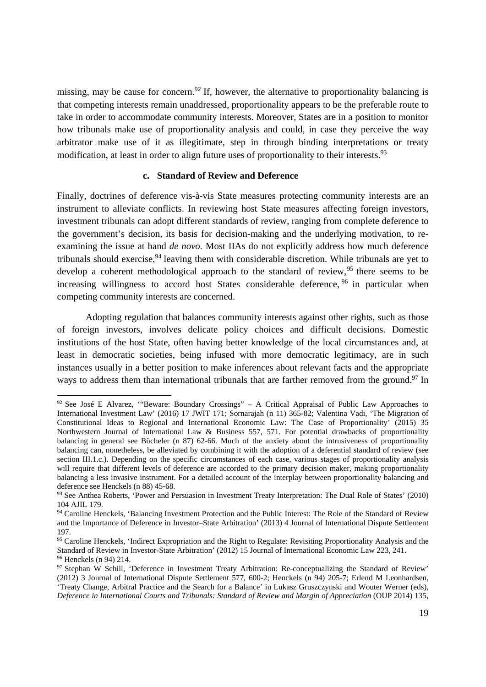missing, may be cause for concern.<sup>92</sup> If, however, the alternative to proportionality balancing is that competing interests remain unaddressed, proportionality appears to be the preferable route to take in order to accommodate community interests. Moreover, States are in a position to monitor how tribunals make use of proportionality analysis and could, in case they perceive the way arbitrator make use of it as illegitimate, step in through binding interpretations or treaty modification, at least in order to align future uses of proportionality to their interests.<sup>93</sup>

#### **c. Standard of Review and Deference**

Finally, doctrines of deference vis-à-vis State measures protecting community interests are an instrument to alleviate conflicts. In reviewing host State measures affecting foreign investors, investment tribunals can adopt different standards of review, ranging from complete deference to the government's decision, its basis for decision-making and the underlying motivation, to reexamining the issue at hand *de novo*. Most IIAs do not explicitly address how much deference tribunals should exercise,  $94$  leaving them with considerable discretion. While tribunals are yet to develop a coherent methodological approach to the standard of review,  $95$  there seems to be increasing willingness to accord host States considerable deference, 96 in particular when competing community interests are concerned.

Adopting regulation that balances community interests against other rights, such as those of foreign investors, involves delicate policy choices and difficult decisions. Domestic institutions of the host State, often having better knowledge of the local circumstances and, at least in democratic societies, being infused with more democratic legitimacy, are in such instances usually in a better position to make inferences about relevant facts and the appropriate ways to address them than international tribunals that are farther removed from the ground.<sup>97</sup> In

<sup>92</sup> See José E Alvarez, '"Beware: Boundary Crossings" – A Critical Appraisal of Public Law Approaches to International Investment Law' (2016) 17 JWIT 171; Sornarajah (n 11) 365-82; Valentina Vadi, 'The Migration of Constitutional Ideas to Regional and International Economic Law: The Case of Proportionality' (2015) 35 Northwestern Journal of International Law & Business 557, 571. For potential drawbacks of proportionality balancing in general see Bücheler (n 87) 62-66. Much of the anxiety about the intrusiveness of proportionality balancing can, nonetheless, be alleviated by combining it with the adoption of a deferential standard of review (see section III.1.c.). Depending on the specific circumstances of each case, various stages of proportionality analysis will require that different levels of deference are accorded to the primary decision maker, making proportionality balancing a less invasive instrument. For a detailed account of the interplay between proportionality balancing and deference see Henckels (n 88) 45-68.

<sup>&</sup>lt;sup>93</sup> See Anthea Roberts, 'Power and Persuasion in Investment Treaty Interpretation: The Dual Role of States' (2010) 104 AJIL 179.

<sup>&</sup>lt;sup>94</sup> Caroline Henckels, 'Balancing Investment Protection and the Public Interest: The Role of the Standard of Review and the Importance of Deference in Investor–State Arbitration' (2013) 4 Journal of International Dispute Settlement 197.

<sup>&</sup>lt;sup>95</sup> Caroline Henckels, 'Indirect Expropriation and the Right to Regulate: Revisiting Proportionality Analysis and the Standard of Review in Investor-State Arbitration' (2012) 15 Journal of International Economic Law 223, 241. 96 Henckels (n 94) 214.

<sup>97</sup> Stephan W Schill, 'Deference in Investment Treaty Arbitration: Re-conceptualizing the Standard of Review' (2012) 3 Journal of International Dispute Settlement 577, 600-2; Henckels (n 94) 205-7; Erlend M Leonhardsen, 'Treaty Change, Arbitral Practice and the Search for a Balance' in Lukasz Gruszczynski and Wouter Werner (eds), *Deference in International Courts and Tribunals: Standard of Review and Margin of Appreciation* (OUP 2014) 135,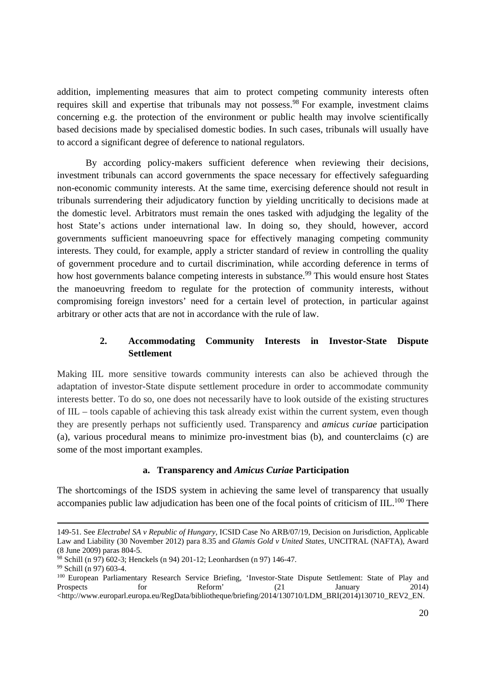addition, implementing measures that aim to protect competing community interests often requires skill and expertise that tribunals may not possess.<sup>98</sup> For example, investment claims concerning e.g. the protection of the environment or public health may involve scientifically based decisions made by specialised domestic bodies. In such cases, tribunals will usually have to accord a significant degree of deference to national regulators.

By according policy-makers sufficient deference when reviewing their decisions, investment tribunals can accord governments the space necessary for effectively safeguarding non-economic community interests. At the same time, exercising deference should not result in tribunals surrendering their adjudicatory function by yielding uncritically to decisions made at the domestic level. Arbitrators must remain the ones tasked with adjudging the legality of the host State's actions under international law. In doing so, they should, however, accord governments sufficient manoeuvring space for effectively managing competing community interests. They could, for example, apply a stricter standard of review in controlling the quality of government procedure and to curtail discrimination, while according deference in terms of how host governments balance competing interests in substance.<sup>99</sup> This would ensure host States the manoeuvring freedom to regulate for the protection of community interests, without compromising foreign investors' need for a certain level of protection, in particular against arbitrary or other acts that are not in accordance with the rule of law.

## **2. Accommodating Community Interests in Investor-State Dispute Settlement**

Making IIL more sensitive towards community interests can also be achieved through the adaptation of investor-State dispute settlement procedure in order to accommodate community interests better. To do so, one does not necessarily have to look outside of the existing structures of IIL – tools capable of achieving this task already exist within the current system, even though they are presently perhaps not sufficiently used. Transparency and *amicus curiae* participation (a), various procedural means to minimize pro-investment bias (b), and counterclaims (c) are some of the most important examples.

## **a. Transparency and** *Amicus Curiae* **Participation**

The shortcomings of the ISDS system in achieving the same level of transparency that usually accompanies public law adjudication has been one of the focal points of criticism of IIL.<sup>100</sup> There

 <sup>149-51.</sup> See *Electrabel SA v Republic of Hungary,* ICSID Case No ARB/07/19, Decision on Jurisdiction, Applicable Law and Liability (30 November 2012) para 8.35 and *Glamis Gold v United States,* UNCITRAL (NAFTA), Award (8 June 2009) paras 804-5.

<sup>98</sup> Schill (n 97) 602-3; Henckels (n 94) 201-12; Leonhardsen (n 97) 146-47.

<sup>99</sup> Schill (n 97) 603-4.

<sup>&</sup>lt;sup>100</sup> European Parliamentary Research Service Briefing, 'Investor-State Dispute Settlement: State of Play and Prospects for Reform' (21 January 2014)  $\langle$ http://www.europarl.europa.eu/RegData/bibliotheque/briefing/2014/130710/LDM\_BRI(2014)130710\_REV2\_EN.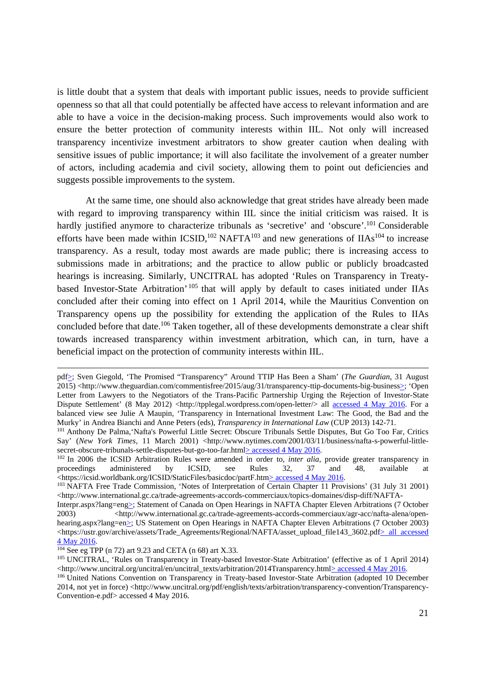is little doubt that a system that deals with important public issues, needs to provide sufficient openness so that all that could potentially be affected have access to relevant information and are able to have a voice in the decision-making process. Such improvements would also work to ensure the better protection of community interests within IIL. Not only will increased transparency incentivize investment arbitrators to show greater caution when dealing with sensitive issues of public importance; it will also facilitate the involvement of a greater number of actors, including academia and civil society, allowing them to point out deficiencies and suggests possible improvements to the system.

At the same time, one should also acknowledge that great strides have already been made with regard to improving transparency within IIL since the initial criticism was raised. It is hardly justified anymore to characterize tribunals as 'secretive' and 'obscure'.<sup>101</sup> Considerable efforts have been made within  $\text{ICSID}$ ,<sup>102</sup> NAFTA<sup>103</sup> and new generations of  $\text{IAs}^{104}$  to increase transparency. As a result, today most awards are made public; there is increasing access to submissions made in arbitrations; and the practice to allow public or publicly broadcasted hearings is increasing. Similarly, UNCITRAL has adopted 'Rules on Transparency in Treatybased Investor-State Arbitration' 105 that will apply by default to cases initiated under IIAs concluded after their coming into effect on 1 April 2014, while the Mauritius Convention on Transparency opens up the possibility for extending the application of the Rules to IIAs concluded before that date.<sup>106</sup> Taken together, all of these developments demonstrate a clear shift towards increased transparency within investment arbitration, which can, in turn, have a beneficial impact on the protection of community interests within IIL.

pdf>; Sven Giegold, 'The Promised "Transparency" Around TTIP Has Been a Sham' (*The Guardian*, 31 August 2015) <http://www.theguardian.com/commentisfree/2015/aug/31/transparency-ttip-documents-big-business>; 'Open Letter from Lawyers to the Negotiators of the Trans-Pacific Partnership Urging the Rejection of Investor-State Dispute Settlement' (8 May 2012) <http://tpplegal.wordpress.com/open-letter/> all accessed 4 May 2016. For a balanced view see Julie A Maupin, 'Transparency in International Investment Law: The Good, the Bad and the Murky' in Andrea Bianchi and Anne Peters (eds), *Transparency in International Law* (CUP 2013) 142-71.<br><sup>101</sup> Anthony De Palma, 'Nafta's Powerful Little Secret: Obscure Tribunals Settle Disputes, But Go Too Far, Critics

Say' (*New York Times*, 11 March 2001) <http://www.nytimes.com/2001/03/11/business/nafta-s-powerful-little-secret-obscure-tribunals-settle-disputes-but-go-too-far.html>accessed 4 May 2016.

<sup>&</sup>lt;sup>102</sup> In 2006 the ICSID Arbitration Rules were amended in order to, *inter alia*, provide greater transparency in proceedings administered by ICSID, see Rules 32, 37 and 48, available at <br>
<https://icsid.worldbank.org/ICSID/StaticFiles/basicdoc/partF.htm<u>> accessed 4 May 2016</u>.

<sup>&</sup>lt;sup>103</sup> NAFTA Free Trade Commission, 'Notes of Interpretation of Certain Chapter 11 Provisions' (31 July 31 2001)  $\langle$ http://www.international.gc.ca/trade-agreements-accords-commerciaux/topics-domaines/disp-diff/NAFTA-

Interpr.aspx?lang=eng>; Statement of Canada on Open Hearings in NAFTA Chapter Eleven Arbitrations (7 October 2003) <http://www.international.gc.ca/trade-agreements-accords-commerciaux/agr-acc/nafta-alena/openhearing.aspx?lang=en>; US Statement on Open Hearings in NAFTA Chapter Eleven Arbitrations (7 October 2003) <https://ustr.gov/archive/assets/Trade\_Agreements/Regional/NAFTA/asset\_upload\_file143\_3602.pdf> all accessed 4 May 2016.

<sup>&</sup>lt;sup>104</sup> See eg TPP (n 72) art 9.23 and CETA (n 68) art X.33.<br><sup>105</sup> UNCITRAL, 'Rules on Transparency in Treaty-based Investor-State Arbitration' (effective as of 1 April 2014)<br>
<http://www.uncitral.org/uncitral/en/uncitral\_t

<sup>&</sup>lt;sup>106</sup> United Nations Convention on Transparency in Treaty-based Investor-State Arbitration (adopted 10 December 2014, not yet in force) <http://www.uncitral.org/pdf/english/texts/arbitration/transparency-convention/Transparency-Convention-e.pdf> accessed 4 May 2016.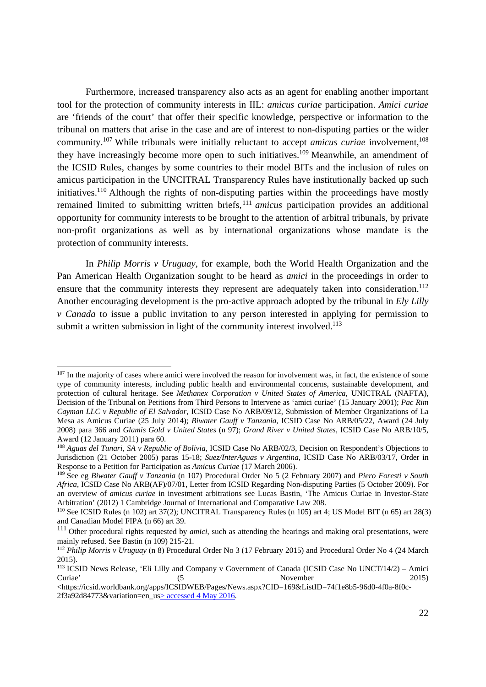Furthermore, increased transparency also acts as an agent for enabling another important tool for the protection of community interests in IIL: *amicus curiae* participation. *Amici curiae* are 'friends of the court' that offer their specific knowledge, perspective or information to the tribunal on matters that arise in the case and are of interest to non-disputing parties or the wider community.<sup>107</sup> While tribunals were initially reluctant to accept *amicus curiae* involvement,<sup>108</sup> they have increasingly become more open to such initiatives.109 Meanwhile, an amendment of the ICSID Rules, changes by some countries to their model BITs and the inclusion of rules on amicus participation in the UNCITRAL Transparency Rules have institutionally backed up such initiatives.110 Although the rights of non-disputing parties within the proceedings have mostly remained limited to submitting written briefs,<sup>111</sup> *amicus* participation provides an additional opportunity for community interests to be brought to the attention of arbitral tribunals, by private non-profit organizations as well as by international organizations whose mandate is the protection of community interests.

In *Philip Morris v Uruguay*, for example, both the World Health Organization and the Pan American Health Organization sought to be heard as *amici* in the proceedings in order to ensure that the community interests they represent are adequately taken into consideration.<sup>112</sup> Another encouraging development is the pro-active approach adopted by the tribunal in *Ely Lilly v Canada* to issue a public invitation to any person interested in applying for permission to submit a written submission in light of the community interest involved.<sup>113</sup>

1

 $107$  In the majority of cases where amici were involved the reason for involvement was, in fact, the existence of some type of community interests, including public health and environmental concerns, sustainable development, and protection of cultural heritage. See *Methanex Corporation v United States of America*, UNICTRAL (NAFTA), Decision of the Tribunal on Petitions from Third Persons to Intervene as 'amici curiae' (15 January 2001); *Pac Rim Cayman LLC v Republic of El Salvador*, ICSID Case No ARB/09/12, Submission of Member Organizations of La Mesa as Amicus Curiae (25 July 2014); *Biwater Gauff v Tanzania*, ICSID Case No ARB/05/22, Award (24 July 2008) para 366 and *Glamis Gold v United States* (n 97); *Grand River v United States*, ICSID Case No ARB/10/5, Award (12 January 2011) para 60.

<sup>108</sup> *Aguas del Tunari, SA v Republic of Bolivia*, ICSID Case No ARB/02/3, Decision on Respondent's Objections to Jurisdiction (21 October 2005) paras 15-18; *Suez/InterAguas v Argentina*, ICSID Case No ARB/03/17, Order in Response to a Petition for Participation as *Amicus Curiae* (17 March 2006). 109 See eg *Biwater Gauff v Tanzania* (n 107) Procedural Order No 5 (2 February 2007) and *Piero Foresti v South* 

*Africa*, ICSID Case No ARB(AF)/07/01, Letter from ICSID Regarding Non-disputing Parties (5 October 2009). For an overview of *amicus curiae* in investment arbitrations see Lucas Bastin, 'The Amicus Curiae in Investor-State Arbitration' (2012) 1 Cambridge Journal of International and Comparative Law 208.

<sup>110</sup> See ICSID Rules (n 102) art 37(2); UNCITRAL Transparency Rules (n 105) art 4; US Model BIT (n 65) art 28(3) and Canadian Model FIPA (n 66) art 39.

<sup>&</sup>lt;sup>111</sup> Other procedural rights requested by *amici*, such as attending the hearings and making oral presentations, were mainly refused. See Bastin (n 109) 215-21.<br><sup>112</sup> *Philip Morris v Uruguay* (n 8) Procedural Order No 3 (17 February 2015) and Procedural Order No 4 (24 March

<sup>2015).</sup> 

<sup>113</sup> ICSID News Release, 'Eli Lilly and Company v Government of Canada (ICSID Case No UNCT/14/2) – Amici Curiae' (5 November 2015)

<sup>&</sup>lt;https://icsid.worldbank.org/apps/ICSIDWEB/Pages/News.aspx?CID=169&ListID=74f1e8b5-96d0-4f0a-8f0c-2f3a92d84773&variation=en\_us> accessed 4 May 2016.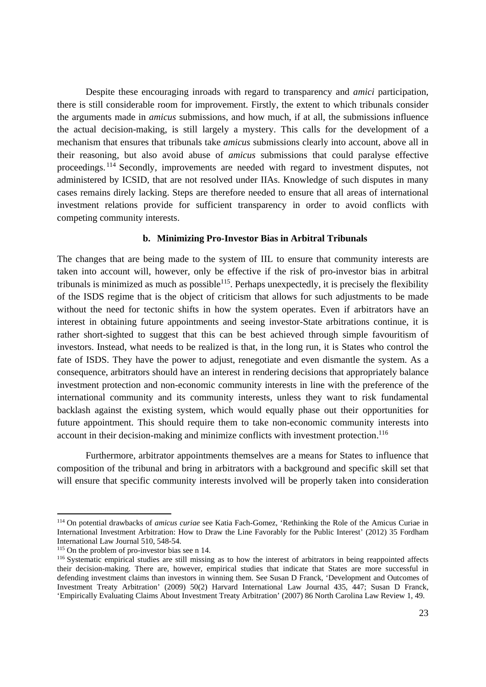Despite these encouraging inroads with regard to transparency and *amici* participation, there is still considerable room for improvement. Firstly, the extent to which tribunals consider the arguments made in *amicus* submissions, and how much, if at all, the submissions influence the actual decision-making, is still largely a mystery. This calls for the development of a mechanism that ensures that tribunals take *amicus* submissions clearly into account, above all in their reasoning, but also avoid abuse of *amicus* submissions that could paralyse effective proceedings. 114 Secondly, improvements are needed with regard to investment disputes, not administered by ICSID, that are not resolved under IIAs. Knowledge of such disputes in many cases remains direly lacking. Steps are therefore needed to ensure that all areas of international investment relations provide for sufficient transparency in order to avoid conflicts with competing community interests.

#### **b. Minimizing Pro-Investor Bias in Arbitral Tribunals**

The changes that are being made to the system of IIL to ensure that community interests are taken into account will, however, only be effective if the risk of pro-investor bias in arbitral tribunals is minimized as much as possible<sup>115</sup>. Perhaps unexpectedly, it is precisely the flexibility of the ISDS regime that is the object of criticism that allows for such adjustments to be made without the need for tectonic shifts in how the system operates. Even if arbitrators have an interest in obtaining future appointments and seeing investor-State arbitrations continue, it is rather short-sighted to suggest that this can be best achieved through simple favouritism of investors. Instead, what needs to be realized is that, in the long run, it is States who control the fate of ISDS. They have the power to adjust, renegotiate and even dismantle the system. As a consequence, arbitrators should have an interest in rendering decisions that appropriately balance investment protection and non-economic community interests in line with the preference of the international community and its community interests, unless they want to risk fundamental backlash against the existing system, which would equally phase out their opportunities for future appointment. This should require them to take non-economic community interests into account in their decision-making and minimize conflicts with investment protection.<sup>116</sup>

Furthermore, arbitrator appointments themselves are a means for States to influence that composition of the tribunal and bring in arbitrators with a background and specific skill set that will ensure that specific community interests involved will be properly taken into consideration

<sup>114</sup> On potential drawbacks of *amicus curiae* see Katia Fach-Gomez, 'Rethinking the Role of the Amicus Curiae in International Investment Arbitration: How to Draw the Line Favorably for the Public Interest' (2012) 35 Fordham International Law Journal 510, 548-54.<br><sup>115</sup> On the problem of pro-investor bias see n 14.<br><sup>116</sup> Systematic empirical studies are still missing as to how the interest of arbitrators in being reappointed affects

their decision-making. There are, however, empirical studies that indicate that States are more successful in defending investment claims than investors in winning them. See Susan D Franck, 'Development and Outcomes of Investment Treaty Arbitration' (2009) 50(2) Harvard International Law Journal 435, 447; Susan D Franck, 'Empirically Evaluating Claims About Investment Treaty Arbitration' (2007) 86 North Carolina Law Review 1, 49.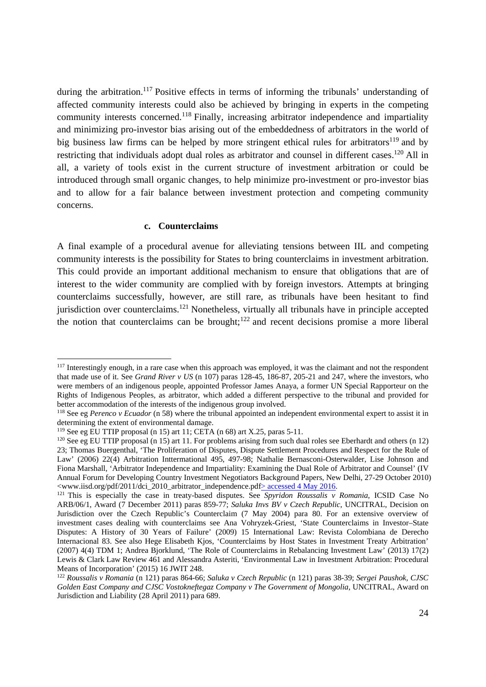during the arbitration.<sup>117</sup> Positive effects in terms of informing the tribunals' understanding of affected community interests could also be achieved by bringing in experts in the competing community interests concerned.118 Finally, increasing arbitrator independence and impartiality and minimizing pro-investor bias arising out of the embeddedness of arbitrators in the world of big business law firms can be helped by more stringent ethical rules for arbitrators<sup>119</sup> and by restricting that individuals adopt dual roles as arbitrator and counsel in different cases.<sup>120</sup> All in all, a variety of tools exist in the current structure of investment arbitration or could be introduced through small organic changes, to help minimize pro-investment or pro-investor bias and to allow for a fair balance between investment protection and competing community concerns.

#### **c. Counterclaims**

A final example of a procedural avenue for alleviating tensions between IIL and competing community interests is the possibility for States to bring counterclaims in investment arbitration. This could provide an important additional mechanism to ensure that obligations that are of interest to the wider community are complied with by foreign investors. Attempts at bringing counterclaims successfully, however, are still rare, as tribunals have been hesitant to find jurisdiction over counterclaims.<sup>121</sup> Nonetheless, virtually all tribunals have in principle accepted the notion that counterclaims can be brought; $122$  and recent decisions promise a more liberal

<sup>&</sup>lt;sup>117</sup> Interestingly enough, in a rare case when this approach was employed, it was the claimant and not the respondent that made use of it. See *Grand River v US* (n 107) paras 128-45, 186-87, 205-21 and 247, where the investors, who were members of an indigenous people, appointed Professor James Anaya, a former UN Special Rapporteur on the Rights of Indigenous Peoples, as arbitrator, which added a different perspective to the tribunal and provided for better accommodation of the interests of the indigenous group involved.

<sup>&</sup>lt;sup>118</sup> See eg *Perenco v Ecuador* (n 58) where the tribunal appointed an independent environmental expert to assist it in determining the extent of environmental damage.

<sup>&</sup>lt;sup>119</sup> See eg EU TTIP proposal (n 15) art 11; CETA (n 68) art X.25, paras 5-11.<br><sup>120</sup> See eg EU TTIP proposal (n 15) art 11. For problems arising from such dual roles see Eberhardt and others (n 12) 23; Thomas Buergenthal, 'The Proliferation of Disputes, Dispute Settlement Procedures and Respect for the Rule of Law' (2006) 22(4) Arbitration Inttermational 495, 497-98; Nathalie Bernasconi-Osterwalder, Lise Johnson and Fiona Marshall, 'Arbitrator Independence and Impartiality: Examining the Dual Role of Arbitrator and Counsel' (IV Annual Forum for Developing Country Investment Negotiators Background Papers, New Delhi, 27-29 October 2010)<br>
<www.iisd.org/pdf/2011/dci\_2010\_arbitrator\_independence.pdf> accessed 4 May 2016.

<sup>&</sup>lt;sup>121</sup> This is especially the case in treaty-based disputes. See *Spyridon Roussalis v Romania*, ICSID Case No ARB/06/1, Award (7 December 2011) paras 859-77; *Saluka Invs BV v Czech Republic*, UNCITRAL, Decision on Jurisdiction over the Czech Republic's Counterclaim (7 May 2004) para 80. For an extensive overview of investment cases dealing with counterclaims see Ana Vohryzek-Griest, 'State Counterclaims in Investor–State Disputes: A History of 30 Years of Failure' (2009) 15 International Law: Revista Colombiana de Derecho Internacional 83. See also Hege Elisabeth Kjos, 'Counterclaims by Host States in Investment Treaty Arbitration' (2007) 4(4) TDM 1; Andrea Bjorklund, 'The Role of Counterclaims in Rebalancing Investment Law' (2013) 17(2) Lewis & Clark Law Review 461 and Alessandra Asteriti, 'Environmental Law in Investment Arbitration: Procedural Means of Incorporation' (2015) 16 JWIT 248.

<sup>122</sup> *Roussalis v Romania* (n 121) paras 864-66; *Saluka v Czech Republic* (n 121) paras 38-39; *Sergei Paushok, CJSC Golden East Company and CJSC Vostokneftegaz Company v The Government of Mongolia*, UNCITRAL, Award on Jurisdiction and Liability (28 April 2011) para 689.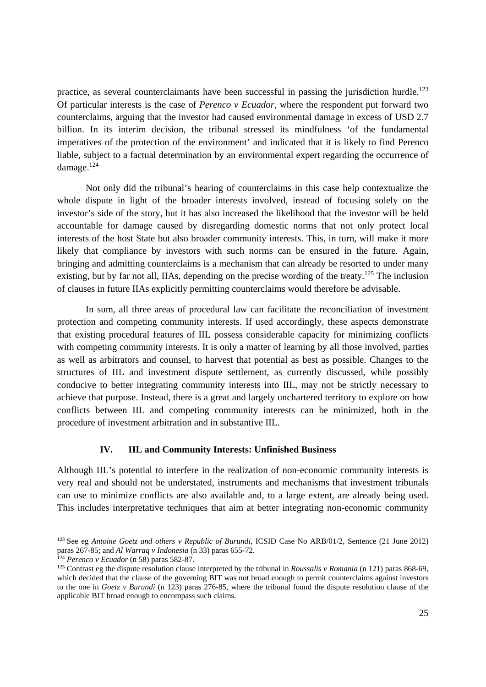practice, as several counterclaimants have been successful in passing the jurisdiction hurdle.<sup>123</sup> Of particular interests is the case of *Perenco v Ecuador*, where the respondent put forward two counterclaims, arguing that the investor had caused environmental damage in excess of USD 2.7 billion. In its interim decision, the tribunal stressed its mindfulness 'of the fundamental imperatives of the protection of the environment' and indicated that it is likely to find Perenco liable, subject to a factual determination by an environmental expert regarding the occurrence of damage.124

Not only did the tribunal's hearing of counterclaims in this case help contextualize the whole dispute in light of the broader interests involved, instead of focusing solely on the investor's side of the story, but it has also increased the likelihood that the investor will be held accountable for damage caused by disregarding domestic norms that not only protect local interests of the host State but also broader community interests. This, in turn, will make it more likely that compliance by investors with such norms can be ensured in the future. Again, bringing and admitting counterclaims is a mechanism that can already be resorted to under many existing, but by far not all, IIAs, depending on the precise wording of the treaty.<sup>125</sup> The inclusion of clauses in future IIAs explicitly permitting counterclaims would therefore be advisable.

In sum, all three areas of procedural law can facilitate the reconciliation of investment protection and competing community interests. If used accordingly, these aspects demonstrate that existing procedural features of IIL possess considerable capacity for minimizing conflicts with competing community interests. It is only a matter of learning by all those involved, parties as well as arbitrators and counsel, to harvest that potential as best as possible. Changes to the structures of IIL and investment dispute settlement, as currently discussed, while possibly conducive to better integrating community interests into IIL, may not be strictly necessary to achieve that purpose. Instead, there is a great and largely unchartered territory to explore on how conflicts between IIL and competing community interests can be minimized, both in the procedure of investment arbitration and in substantive IIL.

#### **IV. IIL and Community Interests: Unfinished Business**

Although IIL's potential to interfere in the realization of non-economic community interests is very real and should not be understated, instruments and mechanisms that investment tribunals can use to minimize conflicts are also available and, to a large extent, are already being used. This includes interpretative techniques that aim at better integrating non-economic community

 $\overline{a}$ 

<sup>123</sup> See eg *Antoine Goetz and others v Republic of Burundi*, ICSID Case No ARB/01/2, Sentence (21 June 2012) paras 267-85; and Al Warraq v Indonesia (n 33) paras 655-72.<br>
<sup>124</sup> Perenco v Ecuador (n 58) paras 582-87.<br>
<sup>125</sup> Contrast eg the dispute resolution clause interpreted by the tribunal in Roussalis v Romania (n 121) paras 8

which decided that the clause of the governing BIT was not broad enough to permit counterclaims against investors to the one in *Goetz v Burundi* (n 123) paras 276-85, where the tribunal found the dispute resolution clause of the applicable BIT broad enough to encompass such claims.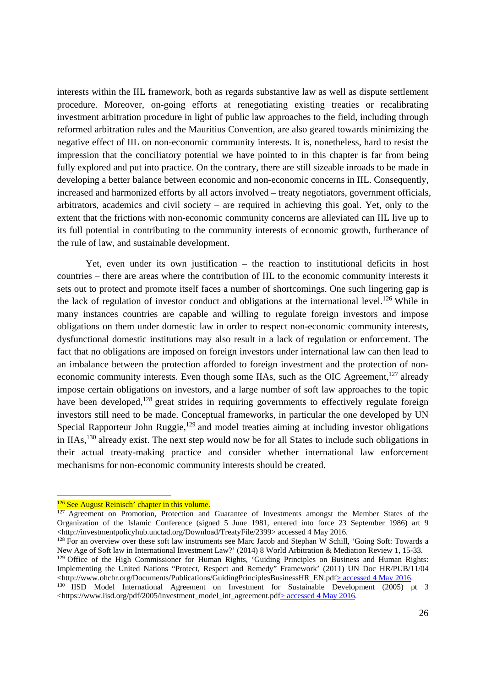interests within the IIL framework, both as regards substantive law as well as dispute settlement procedure. Moreover, on-going efforts at renegotiating existing treaties or recalibrating investment arbitration procedure in light of public law approaches to the field, including through reformed arbitration rules and the Mauritius Convention, are also geared towards minimizing the negative effect of IIL on non-economic community interests. It is, nonetheless, hard to resist the impression that the conciliatory potential we have pointed to in this chapter is far from being fully explored and put into practice. On the contrary, there are still sizeable inroads to be made in developing a better balance between economic and non-economic concerns in IIL. Consequently, increased and harmonized efforts by all actors involved – treaty negotiators, government officials, arbitrators, academics and civil society – are required in achieving this goal. Yet, only to the extent that the frictions with non-economic community concerns are alleviated can IIL live up to its full potential in contributing to the community interests of economic growth, furtherance of the rule of law, and sustainable development.

Yet, even under its own justification – the reaction to institutional deficits in host countries – there are areas where the contribution of IIL to the economic community interests it sets out to protect and promote itself faces a number of shortcomings. One such lingering gap is the lack of regulation of investor conduct and obligations at the international level.<sup>126</sup> While in many instances countries are capable and willing to regulate foreign investors and impose obligations on them under domestic law in order to respect non-economic community interests, dysfunctional domestic institutions may also result in a lack of regulation or enforcement. The fact that no obligations are imposed on foreign investors under international law can then lead to an imbalance between the protection afforded to foreign investment and the protection of noneconomic community interests. Even though some IIAs, such as the OIC Agreement, $127$  already impose certain obligations on investors, and a large number of soft law approaches to the topic have been developed,<sup>128</sup> great strides in requiring governments to effectively regulate foreign investors still need to be made. Conceptual frameworks, in particular the one developed by UN Special Rapporteur John Ruggie, $129$  and model treaties aiming at including investor obligations in IIAs,130 already exist. The next step would now be for all States to include such obligations in their actual treaty-making practice and consider whether international law enforcement mechanisms for non-economic community interests should be created.

<sup>&</sup>lt;sup>126</sup> See August Reinisch' chapter in this volume.

 $127$  Agreement on Promotion, Protection and Guarantee of Investments amongst the Member States of the Organization of the Islamic Conference (signed 5 June 1981, entered into force 23 September 1986) art 9 <http://investmentpolicyhub.unctad.org/Download/TreatyFile/2399> accessed 4 May 2016.

<sup>&</sup>lt;sup>128</sup> For an overview over these soft law instruments see Marc Jacob and Stephan W Schill, 'Going Soft: Towards a New Age of Soft law in International Investment Law?' (2014) 8 World Arbitration & Mediation Review 1, 15-33.

<sup>&</sup>lt;sup>129</sup> Office of the High Commissioner for Human Rights, 'Guiding Principles on Business and Human Rights: Implementing the United Nations "Protect, Respect and Remedy" Framework' (2011) UN Doc HR/PUB/11/04 <http://www.ohchr.org/Documents/Publications/GuidingPrinciplesBusinessHR\_EN.pdf>accessed 4 May 2016.

<sup>&</sup>lt;sup>130</sup> IISD Model International Agreement on Investment for Sustainable Development (2005) pt 3  $\lt$ https://www.iisd.org/pdf/2005/investment\_model\_int\_agreement.pdf> accessed 4 May 2016.